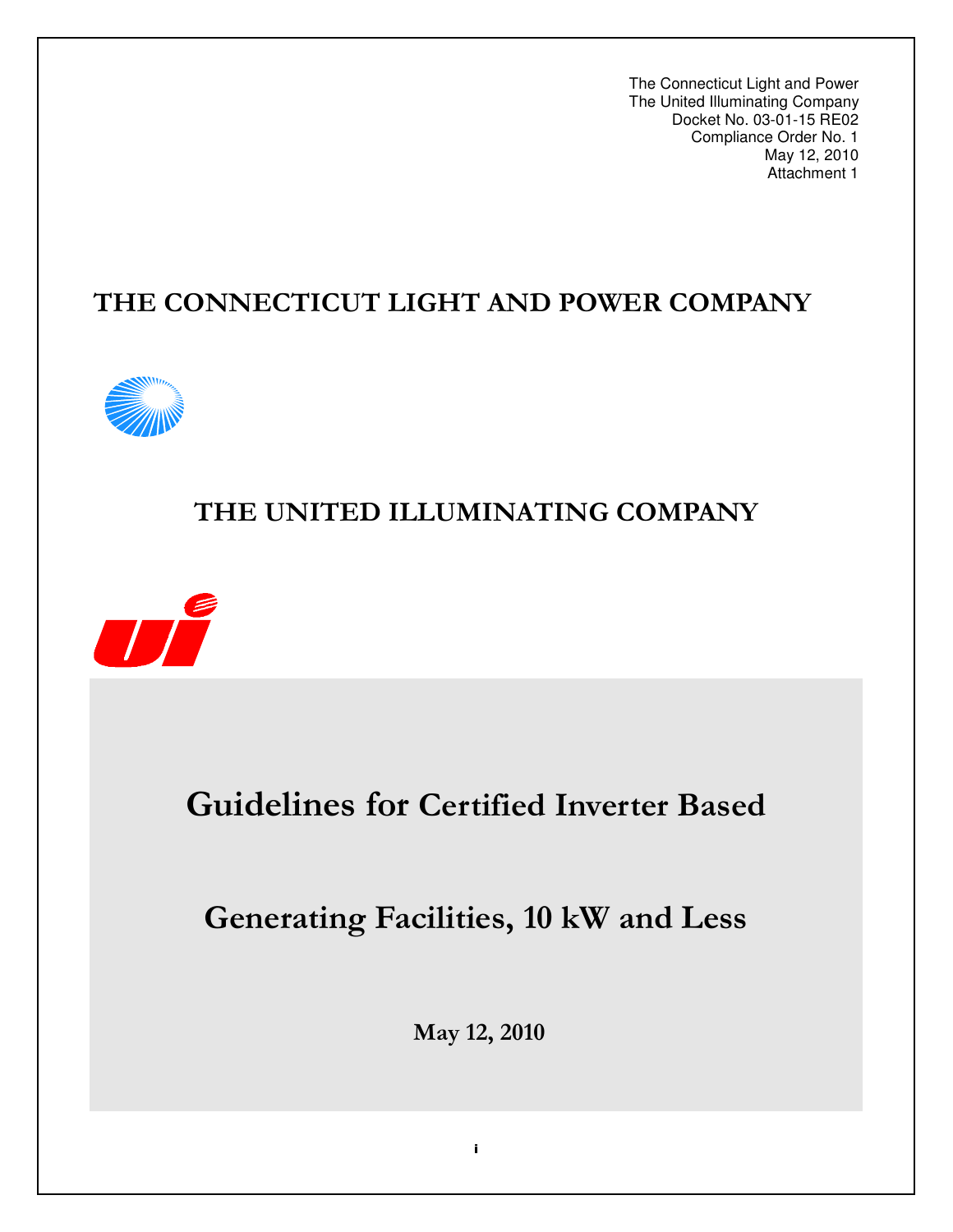The Connecticut Light and Power The United Illuminating Company Docket No. 03-01-15 RE02 Compliance Order No. 1 May 12, 2010 Attachment 1

# THE CONNECTICUT LIGHT AND POWER COMPANY



# THE UNITED ILLUMINATING COMPANY



# **Guidelines for Certified Inverter Based**

# **Generating Facilities, 10 kW and Less**

May 12, 2010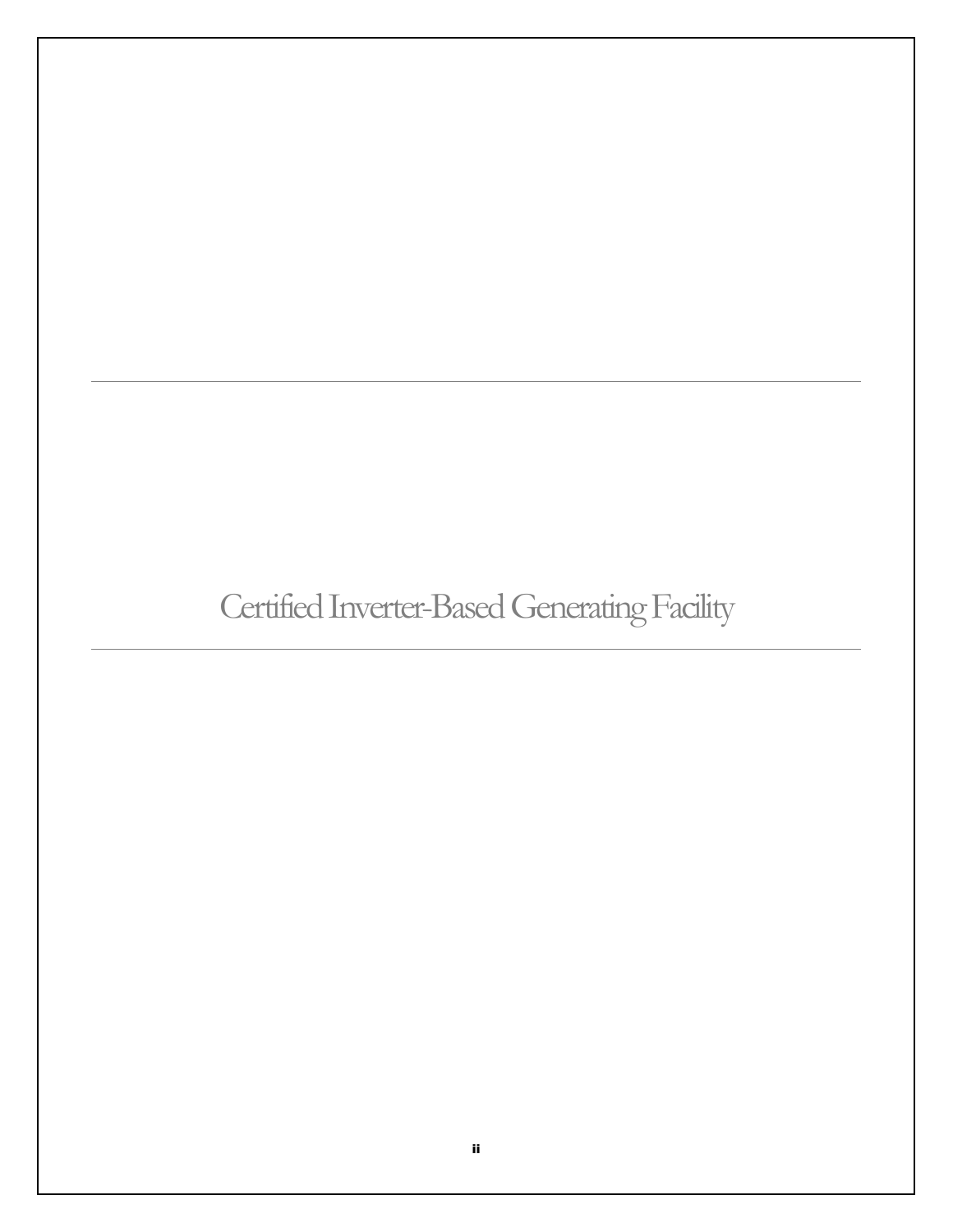# Certified Inverter-Based Generating Facility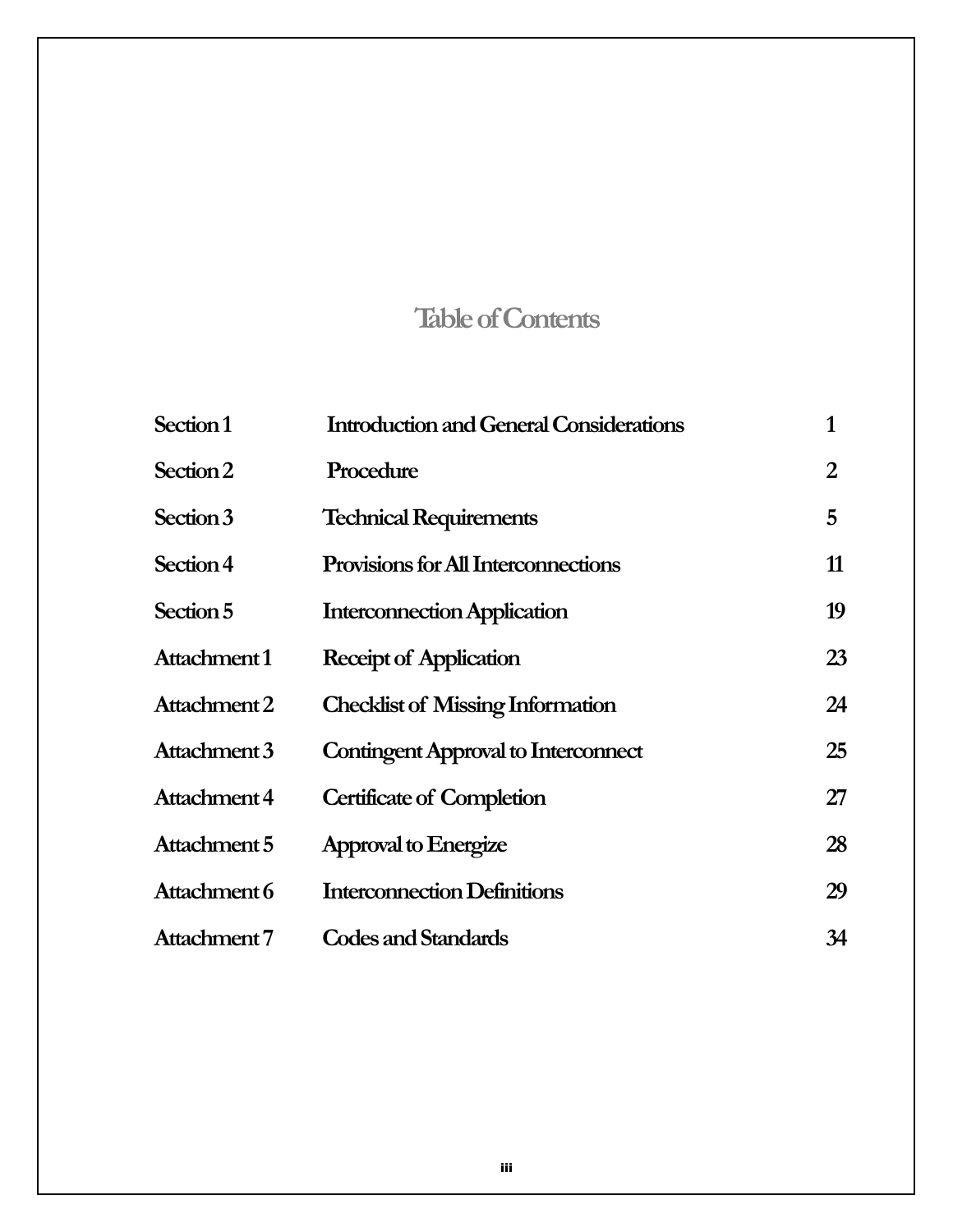# **Table of Contents**

| Section 1    | <b>Introduction and General Considerations</b> | 1  |
|--------------|------------------------------------------------|----|
| Section 2    | Procedure                                      | 2  |
| Section 3    | <b>Technical Requirements</b>                  | 5  |
| Section 4    | <b>Provisions for All Interconnections</b>     | 11 |
| Section 5    | <b>Interconnection Application</b>             | 19 |
| Attachment 1 | Receipt of Application                         | 23 |
| Attachment 2 | <b>Checklist of Missing Information</b>        | 24 |
| Attachment 3 | <b>Contingent Approval to Interconnect</b>     | 25 |
| Attachment 4 | <b>Certificate of Completion</b>               | 27 |
| Attachment 5 | Approval to Energize                           | 28 |
| Attachment 6 | <b>Interconnection Definitions</b>             | 29 |
| Attachment 7 | <b>Codes and Standards</b>                     | 34 |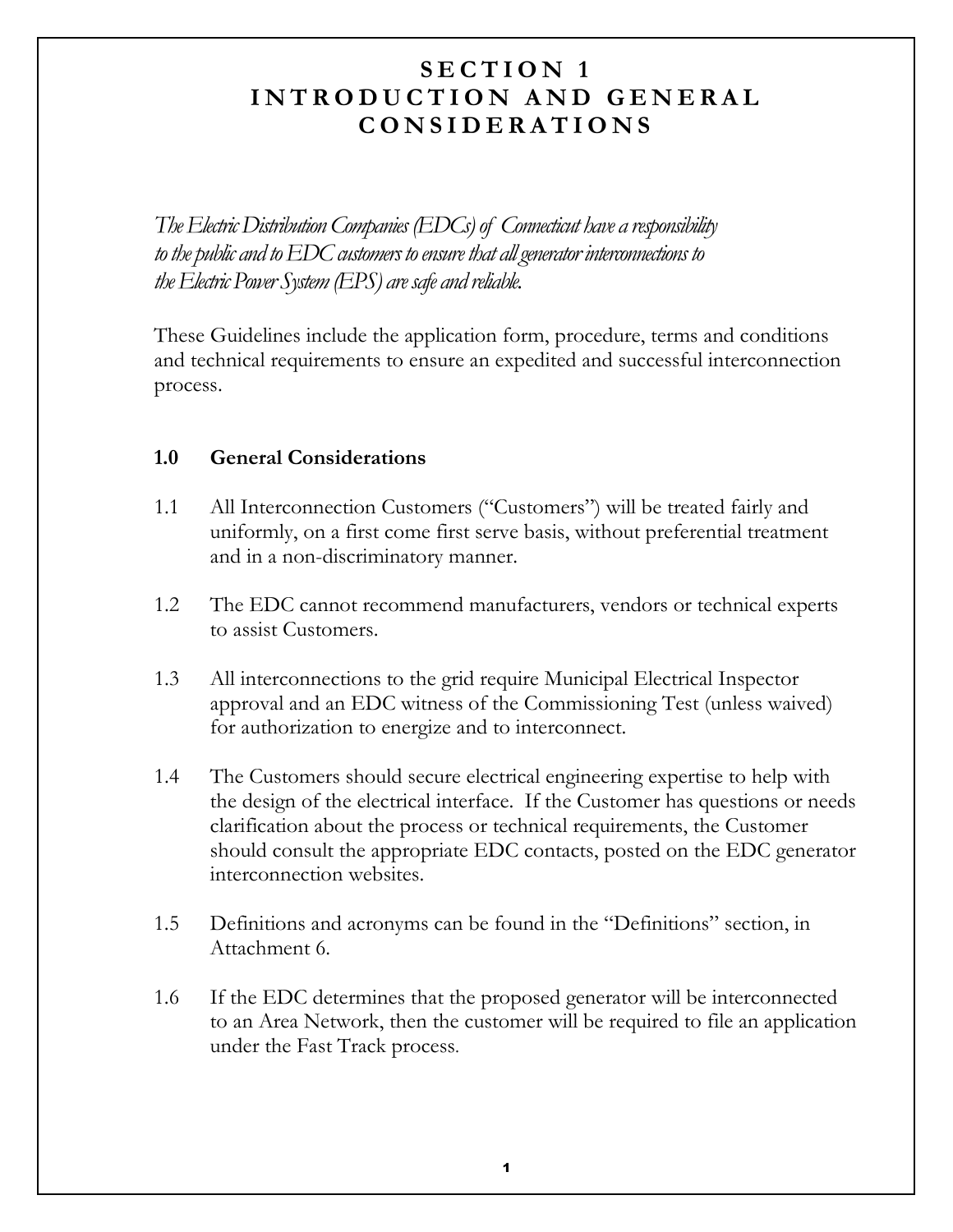### SECTION 1 INTRODUCTION AND GENERAL **CONSIDERATIONS**

The Electric Distribution Companies (EDCs) of Connecticut have a responsibility to the public and to  $\rm{EDC}$  customers to ensure that all generator interconnections to the Electric Power System (EPS) are safe and reliable.

These Guidelines include the application form, procedure, terms and conditions and technical requirements to ensure an expedited and successful interconnection process.

#### $1.0$ **General Considerations**

- $1.1$ All Interconnection Customers ("Customers") will be treated fairly and uniformly, on a first come first serve basis, without preferential treatment and in a non-discriminatory manner.
- $1.2<sub>1</sub>$ The EDC cannot recommend manufacturers, vendors or technical experts to assist Customers.
- $1.3$ All interconnections to the grid require Municipal Electrical Inspector approval and an EDC witness of the Commissioning Test (unless waived) for authorization to energize and to interconnect.
- The Customers should secure electrical engineering expertise to help with  $1.4$ the design of the electrical interface. If the Customer has questions or needs clarification about the process or technical requirements, the Customer should consult the appropriate EDC contacts, posted on the EDC generator interconnection websites.
- $1.5$ Definitions and acronyms can be found in the "Definitions" section, in Attachment 6.
- 1.6 If the EDC determines that the proposed generator will be interconnected to an Area Network, then the customer will be required to file an application under the Fast Track process.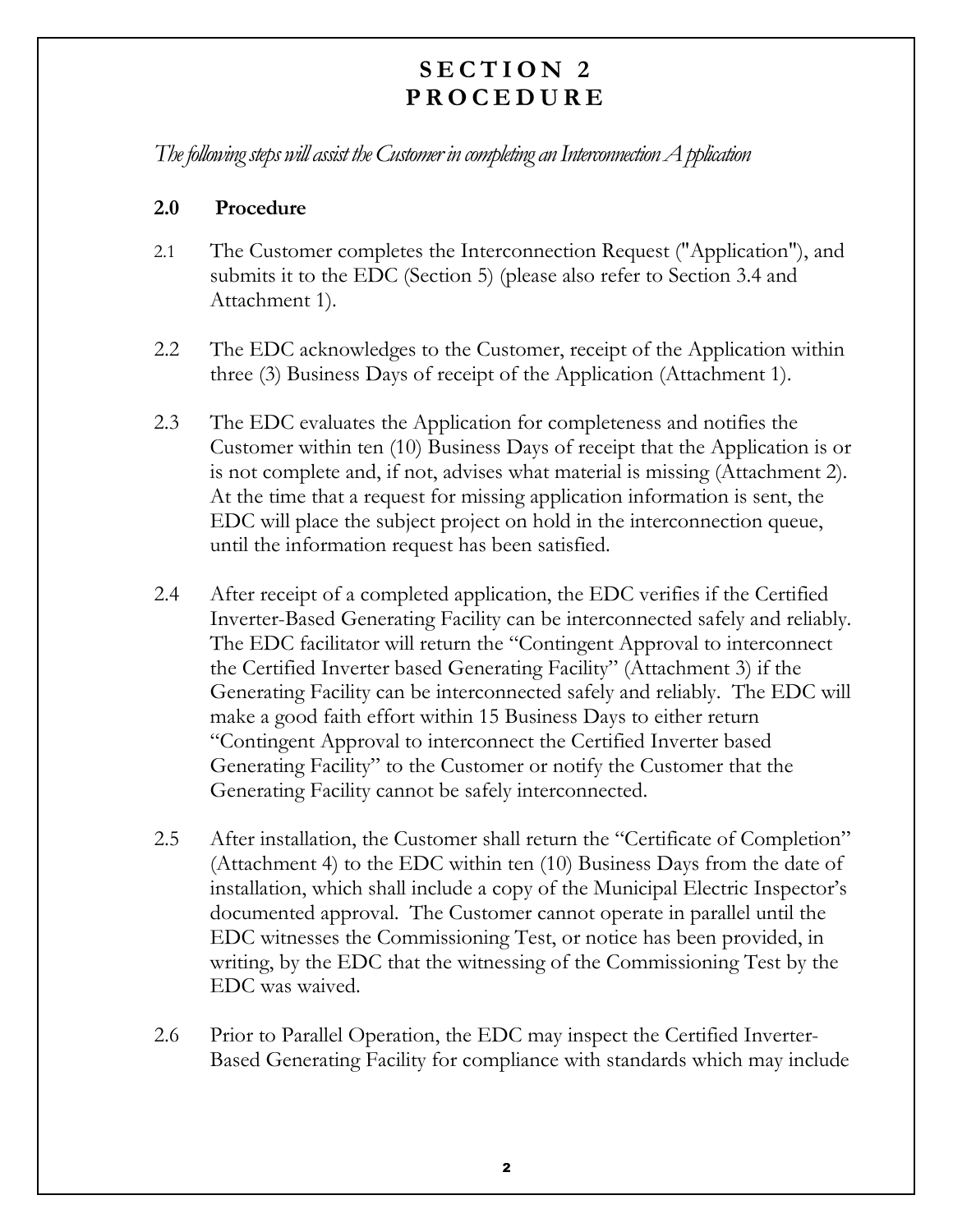## SECTION 2 **PROCEDURE**

The following steps will assist the Customer in completing an Interconnection  $A$  pplication

#### $2.0$ Procedure

- $2.1$ The Customer completes the Interconnection Request ("Application"), and submits it to the EDC (Section 5) (please also refer to Section 3.4 and Attachment 1).
- 2.2 The EDC acknowledges to the Customer, receipt of the Application within three (3) Business Days of receipt of the Application (Attachment 1).
- 2.3 The EDC evaluates the Application for completeness and notifies the Customer within ten (10) Business Days of receipt that the Application is or is not complete and, if not, advises what material is missing (Attachment 2). At the time that a request for missing application information is sent, the EDC will place the subject project on hold in the interconnection queue, until the information request has been satisfied.
- $2.4$ After receipt of a completed application, the EDC verifies if the Certified Inverter-Based Generating Facility can be interconnected safely and reliably. The EDC facilitator will return the "Contingent Approval to interconnect" the Certified Inverter based Generating Facility" (Attachment 3) if the Generating Facility can be interconnected safely and reliably. The EDC will make a good faith effort within 15 Business Days to either return "Contingent Approval to interconnect the Certified Inverter based Generating Facility" to the Customer or notify the Customer that the Generating Facility cannot be safely interconnected.
- 2.5 After installation, the Customer shall return the "Certificate of Completion" (Attachment 4) to the EDC within ten  $(10)$  Business Days from the date of installation, which shall include a copy of the Municipal Electric Inspector's documented approval. The Customer cannot operate in parallel until the EDC witnesses the Commissioning Test, or notice has been provided, in writing, by the EDC that the witnessing of the Commissioning Test by the EDC was waived.
- 2.6 Prior to Parallel Operation, the EDC may inspect the Certified Inverter-Based Generating Facility for compliance with standards which may include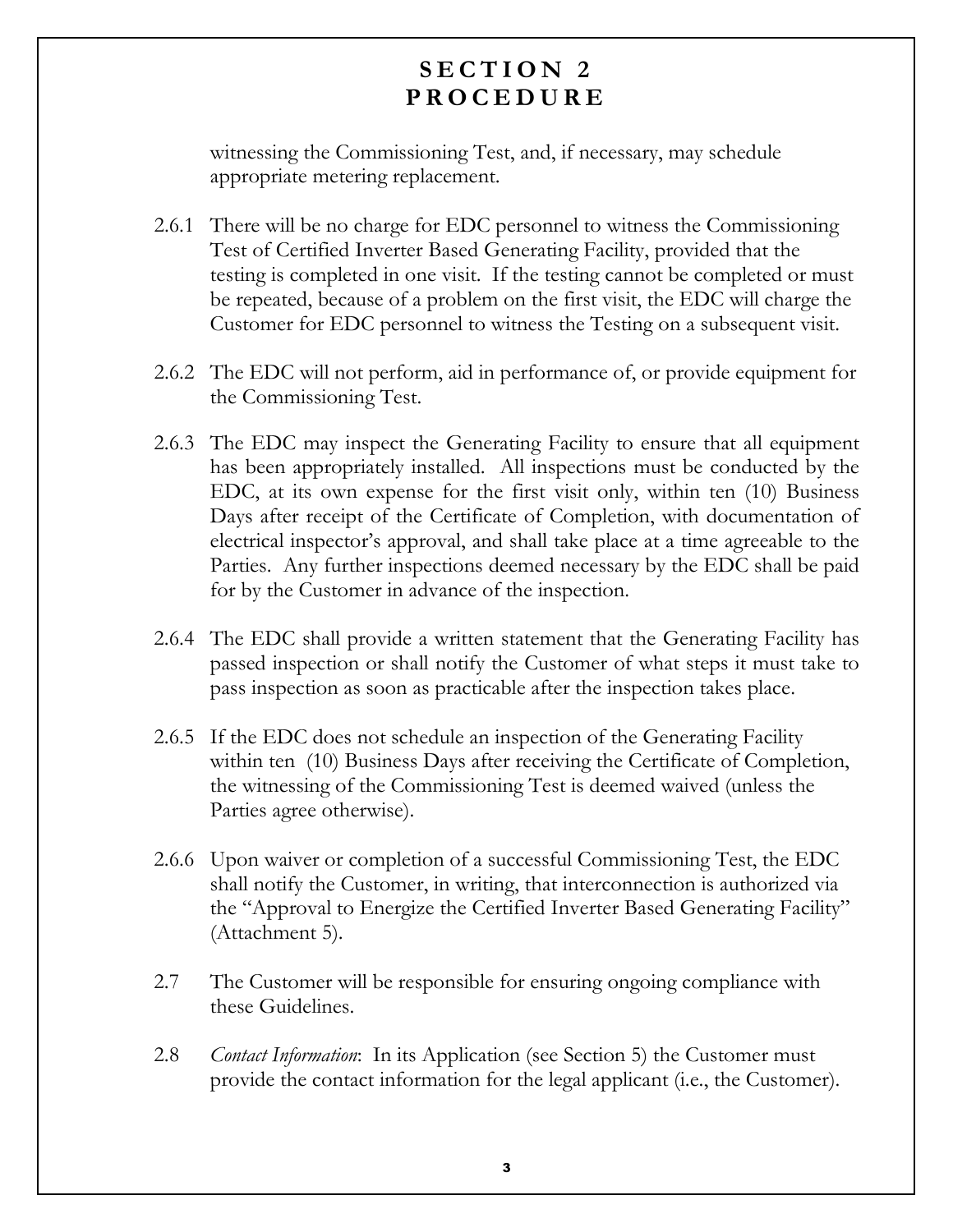## SECTION 2 **PROCEDURE**

witnessing the Commissioning Test, and, if necessary, may schedule appropriate metering replacement.

- 2.6.1 There will be no charge for EDC personnel to witness the Commissioning Test of Certified Inverter Based Generating Facility, provided that the testing is completed in one visit. If the testing cannot be completed or must be repeated, because of a problem on the first visit, the EDC will charge the Customer for EDC personnel to witness the Testing on a subsequent visit.
- 2.6.2 The EDC will not perform, aid in performance of, or provide equipment for the Commissioning Test.
- 2.6.3 The EDC may inspect the Generating Facility to ensure that all equipment has been appropriately installed. All inspections must be conducted by the EDC, at its own expense for the first visit only, within ten (10) Business Days after receipt of the Certificate of Completion, with documentation of electrical inspector's approval, and shall take place at a time agreeable to the Parties. Any further inspections deemed necessary by the EDC shall be paid for by the Customer in advance of the inspection.
- 2.6.4 The EDC shall provide a written statement that the Generating Facility has passed inspection or shall notify the Customer of what steps it must take to pass inspection as soon as practicable after the inspection takes place.
- 2.6.5 If the EDC does not schedule an inspection of the Generating Facility within ten (10) Business Days after receiving the Certificate of Completion, the witnessing of the Commissioning Test is deemed waived (unless the Parties agree otherwise).
- 2.6.6 Upon waiver or completion of a successful Commissioning Test, the EDC shall notify the Customer, in writing, that interconnection is authorized via the "Approval to Energize the Certified Inverter Based Generating Facility" (Attachment 5).
- 2.7 The Customer will be responsible for ensuring ongoing compliance with these Guidelines.
- 2.8 *Contact Information*: In its Application (see Section 5) the Customer must provide the contact information for the legal applicant (i.e., the Customer).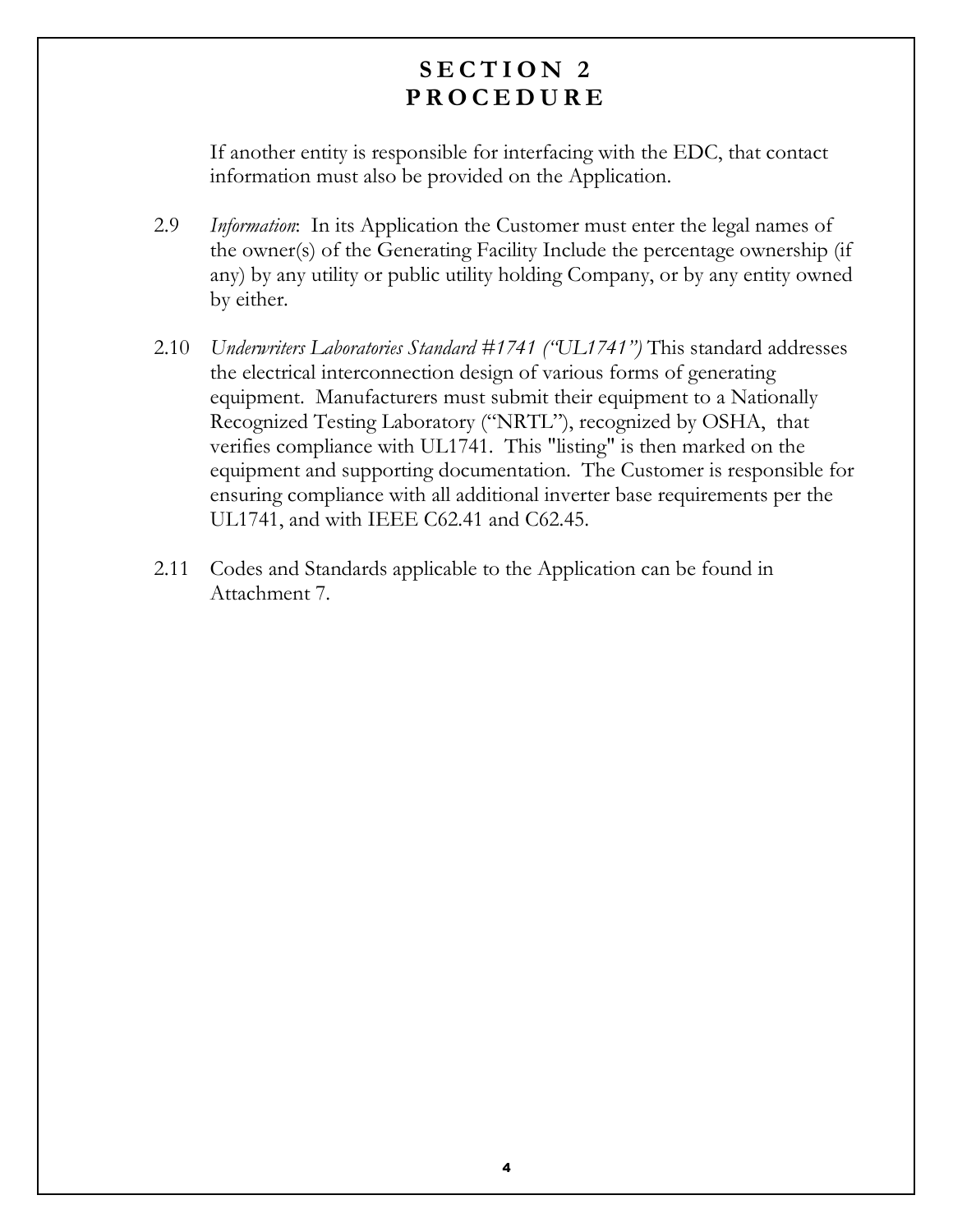### SECTION 2 PROCEDURE

If another entity is responsible for interfacing with the EDC, that contact information must also be provided on the Application.

- 2.9 *Information*: In its Application the Customer must enter the legal names of the owner(s) of the Generating Facility Include the percentage ownership (if any) by any utility or public utility holding Company, or by any entity owned by either.
- 2.10 Underwriters Laboratories Standard #1741 ("UL1741") This standard addresses the electrical interconnection design of various forms of generating equipment. Manufacturers must submit their equipment to a Nationally Recognized Testing Laboratory ("NRTL"), recognized by OSHA, that verifies compliance with UL1741. This "listing" is then marked on the equipment and supporting documentation. The Customer is responsible for ensuring compliance with all additional inverter base requirements per the UL1741, and with IEEE C62.41 and C62.45.
- 2.11 Codes and Standards applicable to the Application can be found in Attachment 7.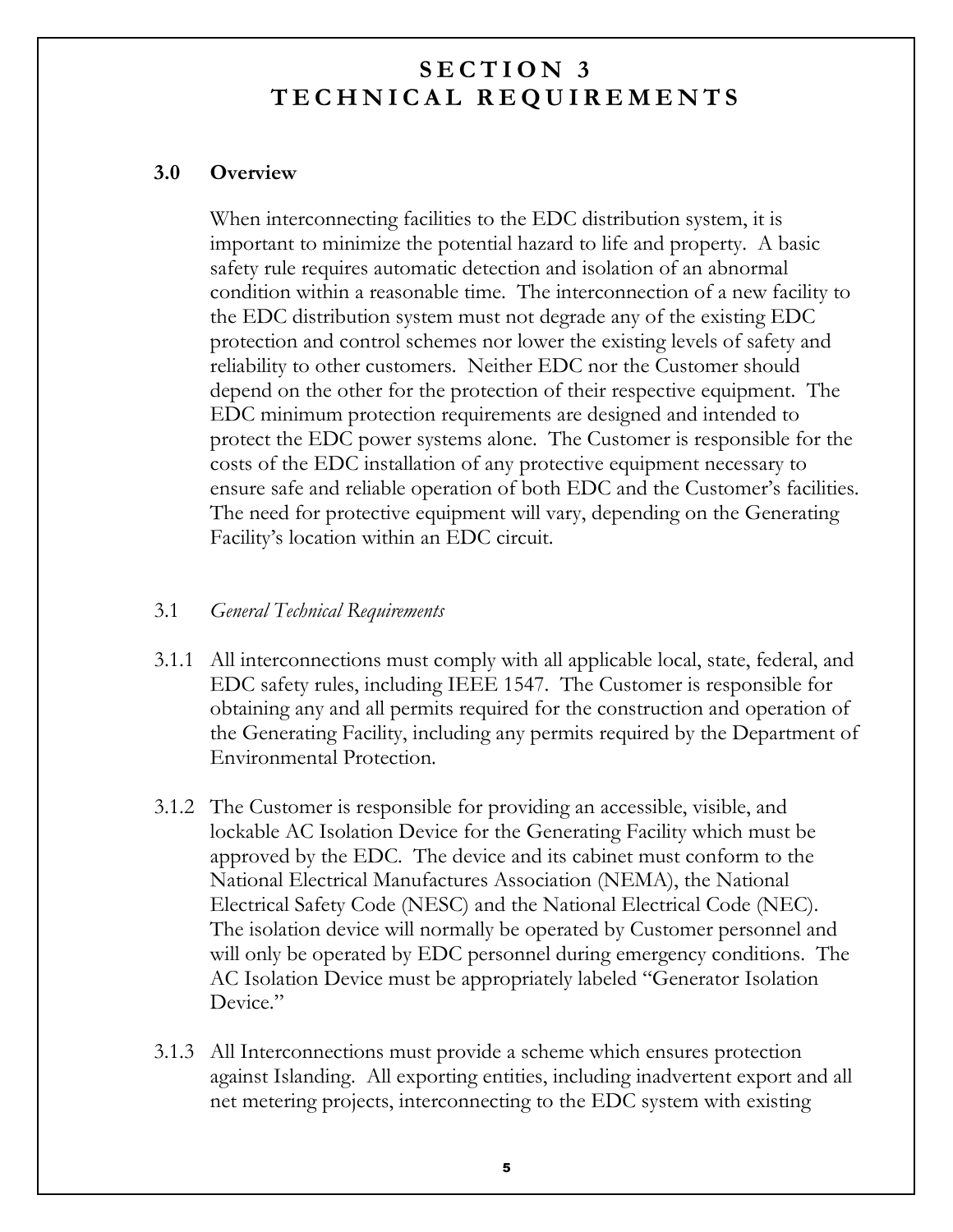#### $3.0$ **Overview**

When interconnecting facilities to the EDC distribution system, it is important to minimize the potential hazard to life and property. A basic safety rule requires automatic detection and isolation of an abnormal condition within a reasonable time. The interconnection of a new facility to the EDC distribution system must not degrade any of the existing EDC protection and control schemes nor lower the existing levels of safety and reliability to other customers. Neither EDC nor the Customer should depend on the other for the protection of their respective equipment. The EDC minimum protection requirements are designed and intended to protect the EDC power systems alone. The Customer is responsible for the costs of the EDC installation of any protective equipment necessary to ensure safe and reliable operation of both EDC and the Customer's facilities. The need for protective equipment will vary, depending on the Generating Facility's location within an EDC circuit.

#### $3.1$ **General Technical Requirements**

- 3.1.1 All interconnections must comply with all applicable local, state, federal, and EDC safety rules, including IEEE 1547. The Customer is responsible for obtaining any and all permits required for the construction and operation of the Generating Facility, including any permits required by the Department of Environmental Protection.
- 3.1.2 The Customer is responsible for providing an accessible, visible, and lockable AC Isolation Device for the Generating Facility which must be approved by the EDC. The device and its cabinet must conform to the National Electrical Manufactures Association (NEMA), the National Electrical Safety Code (NESC) and the National Electrical Code (NEC). The isolation device will normally be operated by Customer personnel and will only be operated by EDC personnel during emergency conditions. The AC Isolation Device must be appropriately labeled "Generator Isolation" Device."
- 3.1.3 All Interconnections must provide a scheme which ensures protection against Islanding. All exporting entities, including inadvertent export and all net metering projects, interconnecting to the EDC system with existing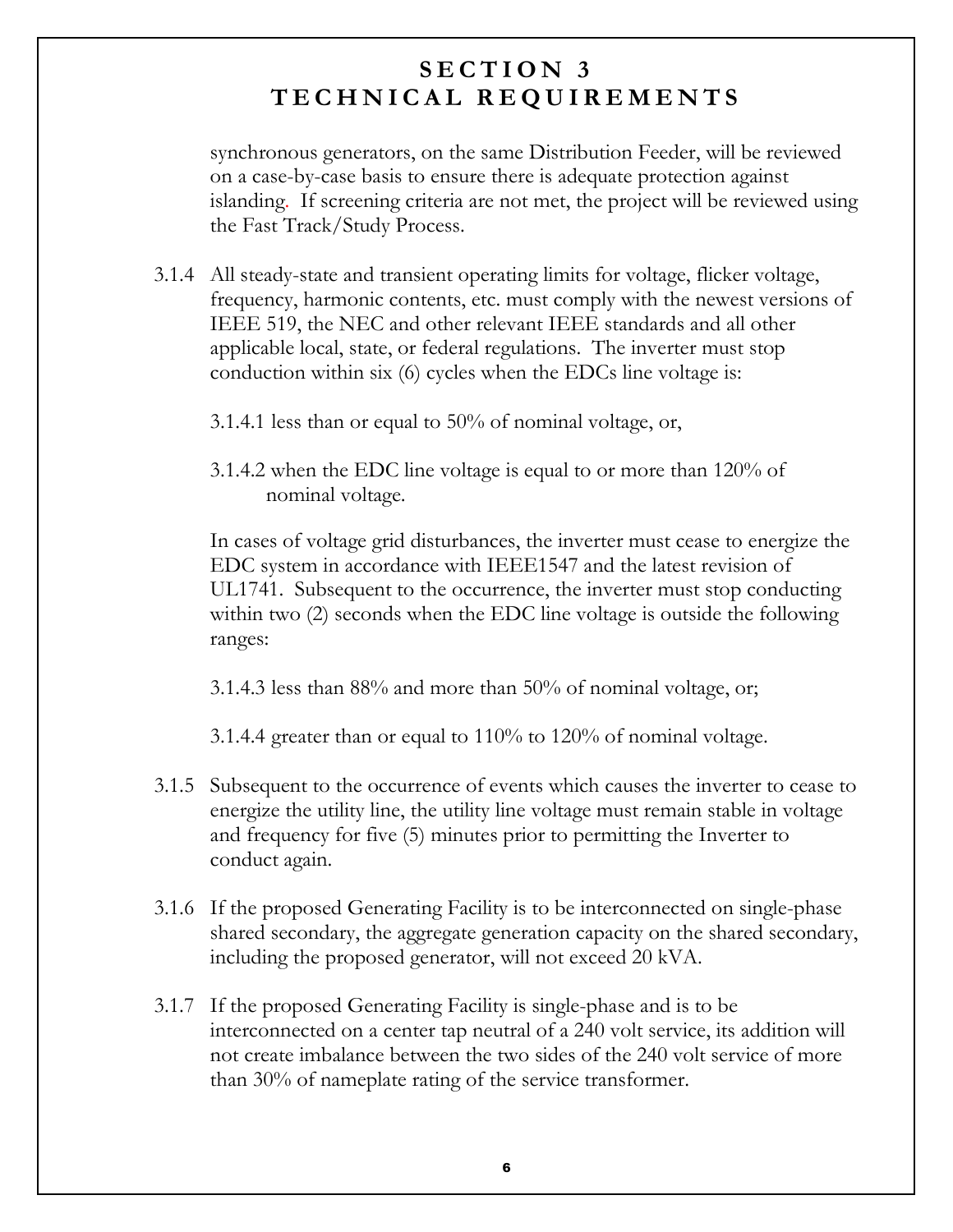synchronous generators, on the same Distribution Feeder, will be reviewed on a case-by-case basis to ensure there is adequate protection against islanding. If screening criteria are not met, the project will be reviewed using the Fast Track/Study Process.

- 3.1.4 All steady-state and transient operating limits for voltage, flicker voltage, frequency, harmonic contents, etc. must comply with the newest versions of IEEE 519, the NEC and other relevant IEEE standards and all other applicable local, state, or federal regulations. The inverter must stop conduction within six (6) cycles when the EDCs line voltage is:
	- 3.1.4.1 less than or equal to  $50\%$  of nominal voltage, or,
	- 3.1.4.2 when the EDC line voltage is equal to or more than  $120\%$  of nominal voltage.

In cases of voltage grid disturbances, the inverter must cease to energize the EDC system in accordance with IEEE1547 and the latest revision of UL1741. Subsequent to the occurrence, the inverter must stop conducting within two (2) seconds when the EDC line voltage is outside the following ranges:

3.1.4.3 less than  $88\%$  and more than  $50\%$  of nominal voltage, or,

3.1.4.4 greater than or equal to  $110\%$  to  $120\%$  of nominal voltage.

- 3.1.5 Subsequent to the occurrence of events which causes the inverter to cease to energize the utility line, the utility line voltage must remain stable in voltage and frequency for five (5) minutes prior to permitting the Inverter to conduct again.
- 3.1.6 If the proposed Generating Facility is to be interconnected on single-phase shared secondary, the aggregate generation capacity on the shared secondary, including the proposed generator, will not exceed 20 kVA.
- 3.1.7 If the proposed Generating Facility is single-phase and is to be interconnected on a center tap neutral of a 240 volt service, its addition will not create imbalance between the two sides of the 240 volt service of more than  $30\%$  of nameplate rating of the service transformer.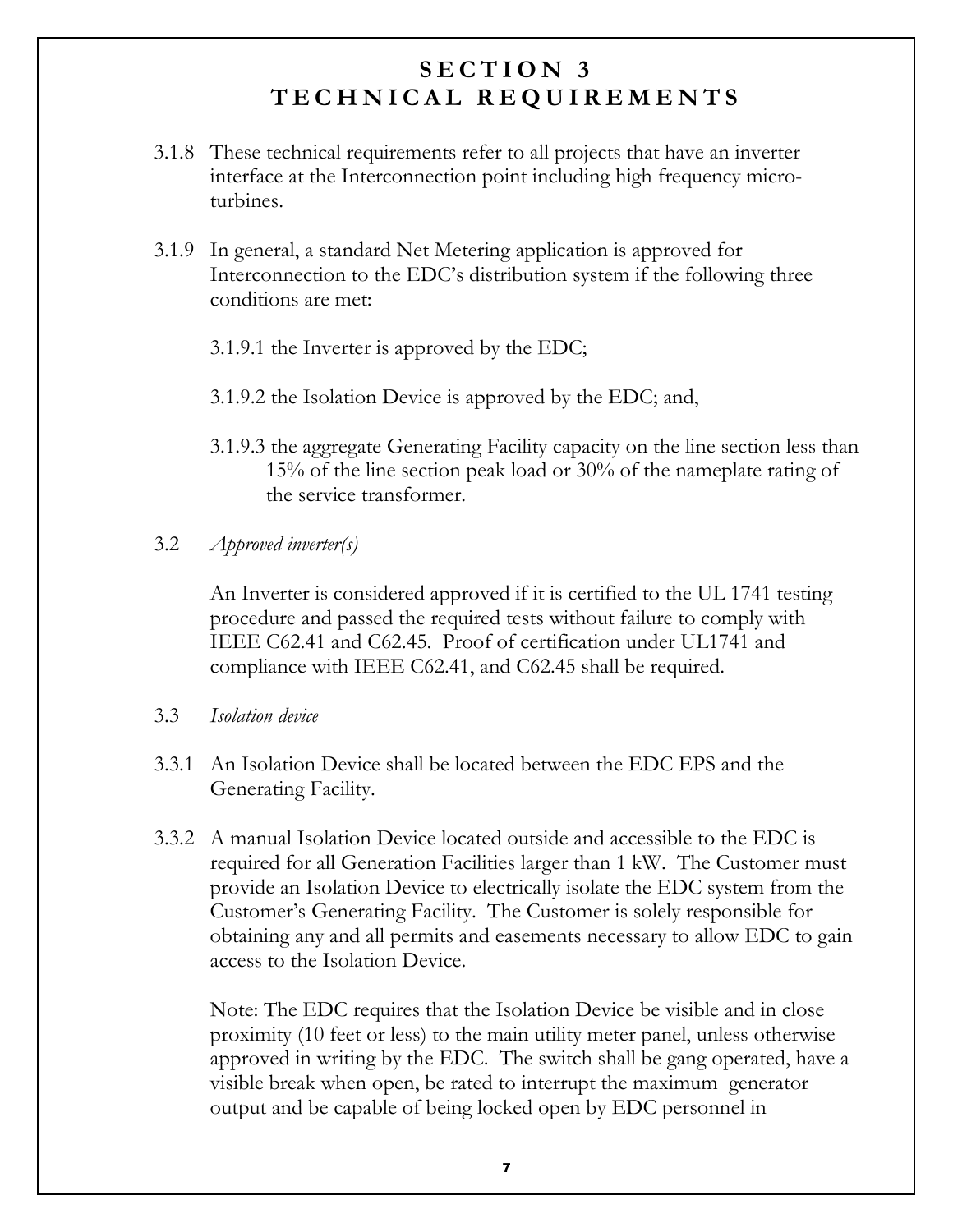- 3.1.8 These technical requirements refer to all projects that have an inverter interface at the Interconnection point including high frequency microturbines.
- 3.1.9 In general, a standard Net Metering application is approved for Interconnection to the EDC's distribution system if the following three conditions are met:
	- 3.1.9.1 the Inverter is approved by the EDC;
	- 3.1.9.2 the Isolation Device is approved by the EDC; and,
	- 3.1.9.3 the aggregate Generating Facility capacity on the line section less than 15% of the line section peak load or 30% of the nameplate rating of the service transformer.

#### $3.2$ *Approved inverter(s)*

An Inverter is considered approved if it is certified to the UL 1741 testing procedure and passed the required tests without failure to comply with IEEE C62.41 and C62.45. Proof of certification under UL1741 and compliance with IEEE C62.41, and C62.45 shall be required.

 $3.3$ Isolation device

- 3.3.1 An Isolation Device shall be located between the EDC EPS and the Generating Facility.
- 3.3.2 A manual Isolation Device located outside and accessible to the EDC is required for all Generation Facilities larger than 1 kW. The Customer must provide an Isolation Device to electrically isolate the EDC system from the Customer's Generating Facility. The Customer is solely responsible for obtaining any and all permits and easements necessary to allow EDC to gain access to the Isolation Device.

Note: The EDC requires that the Isolation Device be visible and in close proximity (10 feet or less) to the main utility meter panel, unless otherwise approved in writing by the EDC. The switch shall be gang operated, have a visible break when open, be rated to interrupt the maximum generator output and be capable of being locked open by EDC personnel in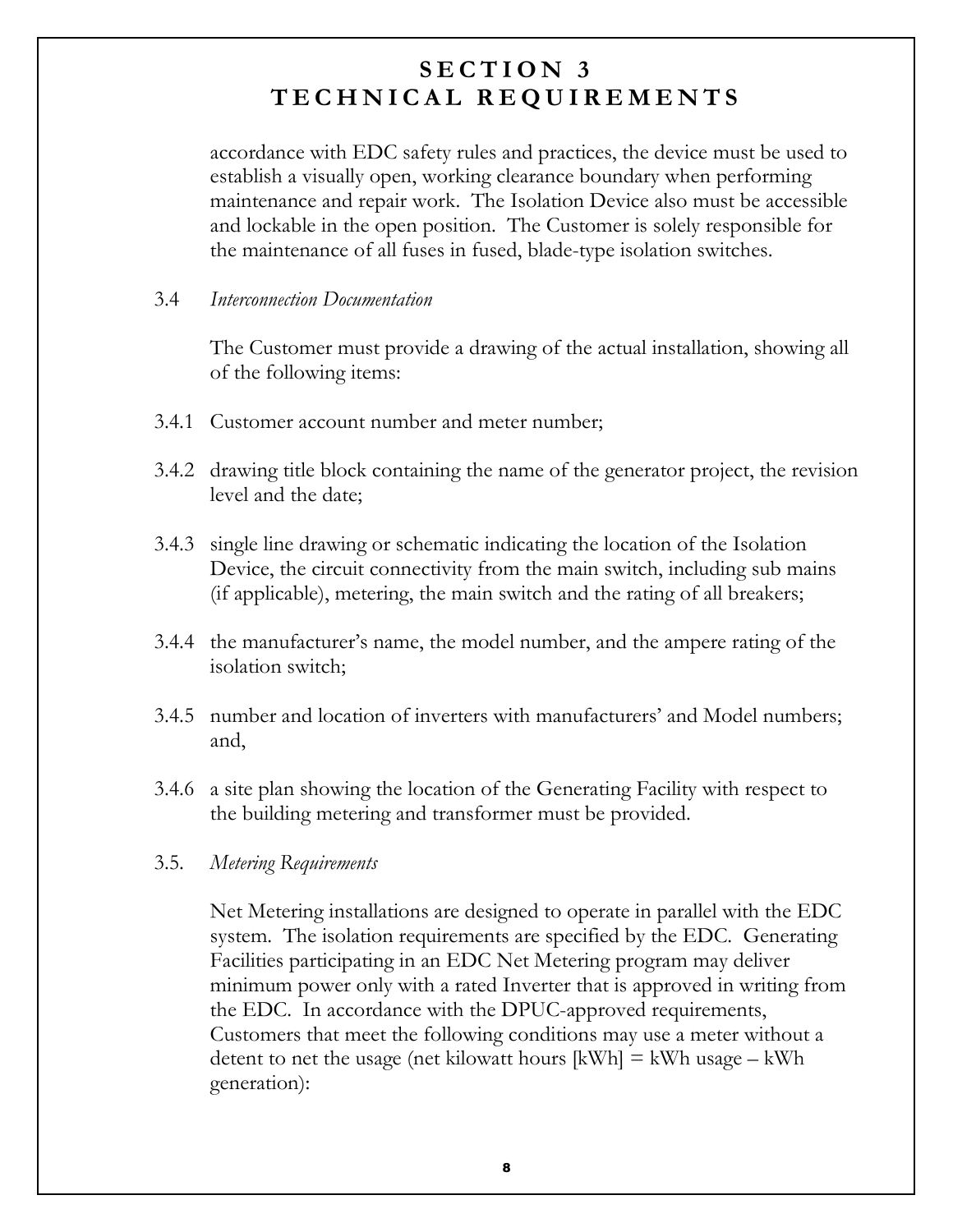accordance with EDC safety rules and practices, the device must be used to establish a visually open, working clearance boundary when performing maintenance and repair work. The Isolation Device also must be accessible and lockable in the open position. The Customer is solely responsible for the maintenance of all fuses in fused, blade-type isolation switches.

#### $3.4$ Interconnection Documentation

The Customer must provide a drawing of the actual installation, showing all of the following items:

- 3.4.1 Customer account number and meter number;
- 3.4.2 drawing title block containing the name of the generator project, the revision level and the date;
- 3.4.3 single line drawing or schematic indicating the location of the Isolation Device, the circuit connectivity from the main switch, including sub mains (if applicable), metering, the main switch and the rating of all breakers;
- 3.4.4 the manufacturer's name, the model number, and the ampere rating of the isolation switch:
- 3.4.5 number and location of inverters with manufacturers' and Model numbers; and,
- 3.4.6 a site plan showing the location of the Generating Facility with respect to the building metering and transformer must be provided.

#### $3.5.$ Metering Requirements

Net Metering installations are designed to operate in parallel with the EDC system. The isolation requirements are specified by the EDC. Generating Facilities participating in an EDC Net Metering program may deliver minimum power only with a rated Inverter that is approved in writing from the EDC. In accordance with the DPUC-approved requirements, Customers that meet the following conditions may use a meter without a detent to net the usage (net kilowatt hours  $[kWh] = kWh$  usage  $-kWh$ generation):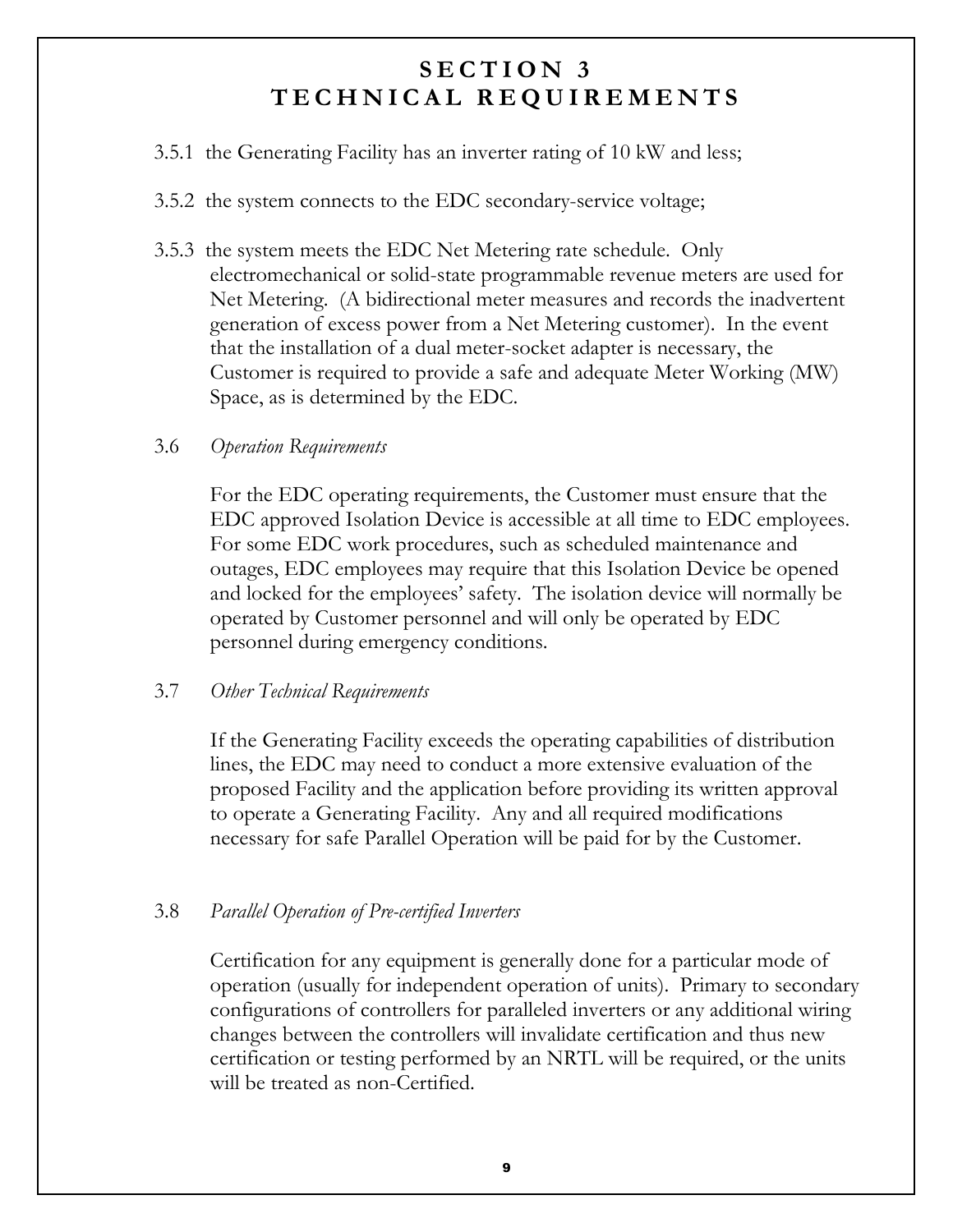- 3.5.1 the Generating Facility has an inverter rating of 10 kW and less;
- 3.5.2 the system connects to the EDC secondary-service voltage;
- 3.5.3 the system meets the EDC Net Metering rate schedule. Only electromechanical or solid-state programmable revenue meters are used for Net Metering. (A bidirectional meter measures and records the inadvertent generation of excess power from a Net Metering customer). In the event that the installation of a dual meter-socket adapter is necessary, the Customer is required to provide a safe and adequate Meter Working (MW) Space, as is determined by the EDC.

#### 3.6 **Operation Requirements**

For the EDC operating requirements, the Customer must ensure that the EDC approved Isolation Device is accessible at all time to EDC employees. For some EDC work procedures, such as scheduled maintenance and outages, EDC employees may require that this Isolation Device be opened and locked for the employees' safety. The isolation device will normally be operated by Customer personnel and will only be operated by EDC personnel during emergency conditions.

#### 3.7 Other Technical Requirements

If the Generating Facility exceeds the operating capabilities of distribution lines, the EDC may need to conduct a more extensive evaluation of the proposed Facility and the application before providing its written approval to operate a Generating Facility. Any and all required modifications necessary for safe Parallel Operation will be paid for by the Customer.

#### 3.8 **Parallel Operation of Pre-certified Inverters**

Certification for any equipment is generally done for a particular mode of operation (usually for independent operation of units). Primary to secondary configurations of controllers for paralleled inverters or any additional wiring changes between the controllers will invalidate certification and thus new certification or testing performed by an NRTL will be required, or the units will be treated as non-Certified.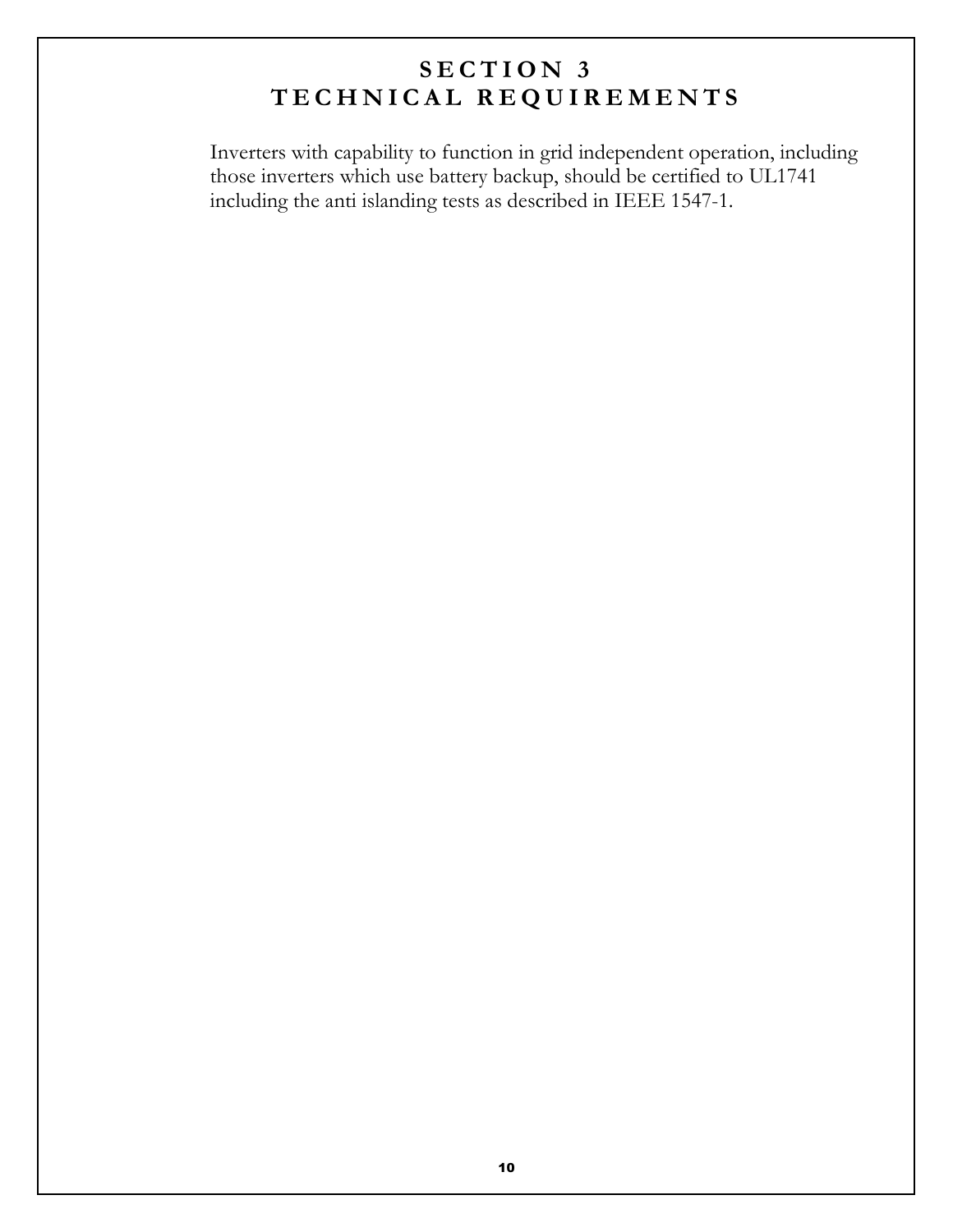Inverters with capability to function in grid independent operation, including those inverters which use battery backup, should be certified to UL1741 including the anti islanding tests as described in IEEE 1547-1.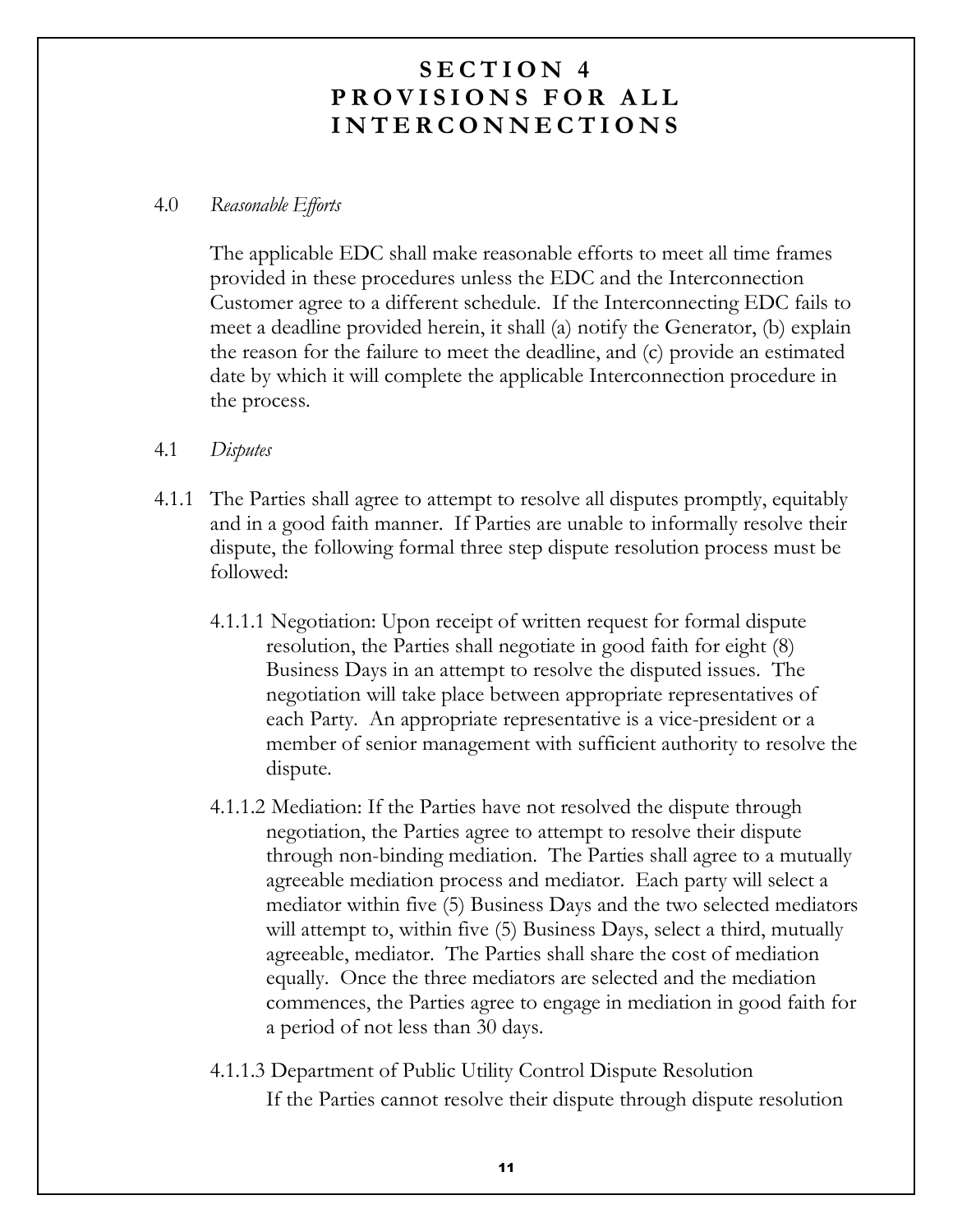#### $4.0$ Reasonable Efforts

The applicable EDC shall make reasonable efforts to meet all time frames provided in these procedures unless the EDC and the Interconnection Customer agree to a different schedule. If the Interconnecting EDC fails to meet a deadline provided herein, it shall (a) notify the Generator, (b) explain the reason for the failure to meet the deadline, and (c) provide an estimated date by which it will complete the applicable Interconnection procedure in the process.

#### $4.1$ Disputes

- 4.1.1 The Parties shall agree to attempt to resolve all disputes promptly, equitably and in a good faith manner. If Parties are unable to informally resolve their dispute, the following formal three step dispute resolution process must be followed:
	- 4.1.1.1 Negotiation: Upon receipt of written request for formal dispute resolution, the Parties shall negotiate in good faith for eight (8) Business Days in an attempt to resolve the disputed issues. The negotiation will take place between appropriate representatives of each Party. An appropriate representative is a vice-president or a member of senior management with sufficient authority to resolve the dispute.
	- 4.1.1.2 Mediation: If the Parties have not resolved the dispute through negotiation, the Parties agree to attempt to resolve their dispute through non-binding mediation. The Parties shall agree to a mutually agreeable mediation process and mediator. Each party will select a mediator within five (5) Business Days and the two selected mediators will attempt to, within five (5) Business Days, select a third, mutually agreeable, mediator. The Parties shall share the cost of mediation equally. Once the three mediators are selected and the mediation commences, the Parties agree to engage in mediation in good faith for a period of not less than 30 days.
	- 4.1.1.3 Department of Public Utility Control Dispute Resolution If the Parties cannot resolve their dispute through dispute resolution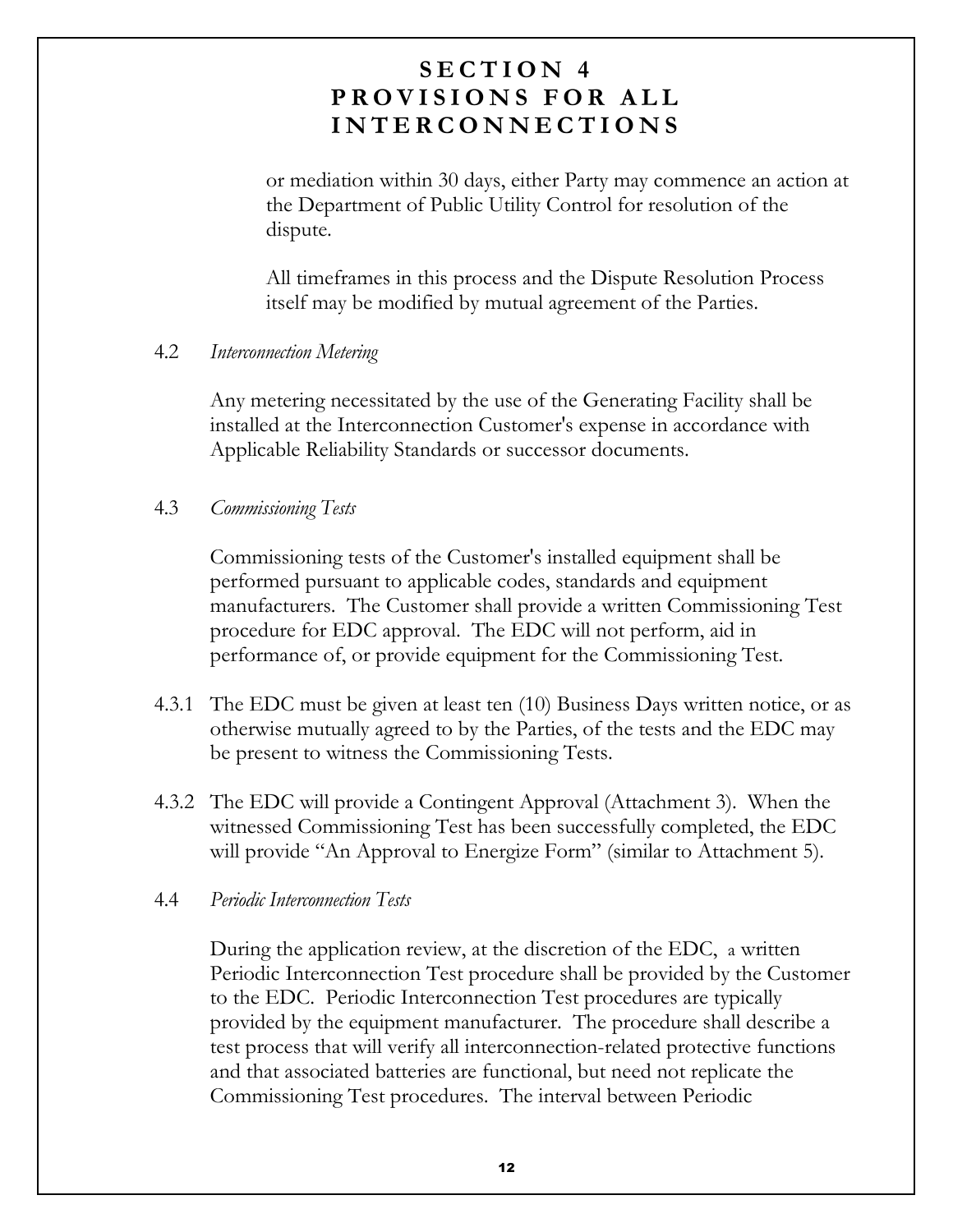or mediation within 30 days, either Party may commence an action at the Department of Public Utility Control for resolution of the dispute.

All time frames in this process and the Dispute Resolution Process itself may be modified by mutual agreement of the Parties.

#### $4.2$ **Interconnection Metering**

Any metering necessitated by the use of the Generating Facility shall be installed at the Interconnection Customer's expense in accordance with Applicable Reliability Standards or successor documents.

#### 4.3 **Commissioning Tests**

Commissioning tests of the Customer's installed equipment shall be performed pursuant to applicable codes, standards and equipment manufacturers. The Customer shall provide a written Commissioning Test procedure for EDC approval. The EDC will not perform, aid in performance of, or provide equipment for the Commissioning Test.

- 4.3.1 The EDC must be given at least ten (10) Business Days written notice, or as otherwise mutually agreed to by the Parties, of the tests and the EDC may be present to witness the Commissioning Tests.
- 4.3.2 The EDC will provide a Contingent Approval (Attachment 3). When the witnessed Commissioning Test has been successfully completed, the EDC will provide "An Approval to Energize Form" (similar to Attachment 5).

#### **Periodic Interconnection Tests**  $4.4$

During the application review, at the discretion of the EDC, a written Periodic Interconnection Test procedure shall be provided by the Customer to the EDC. Periodic Interconnection Test procedures are typically provided by the equipment manufacturer. The procedure shall describe a test process that will verify all interconnection-related protective functions and that associated batteries are functional, but need not replicate the Commissioning Test procedures. The interval between Periodic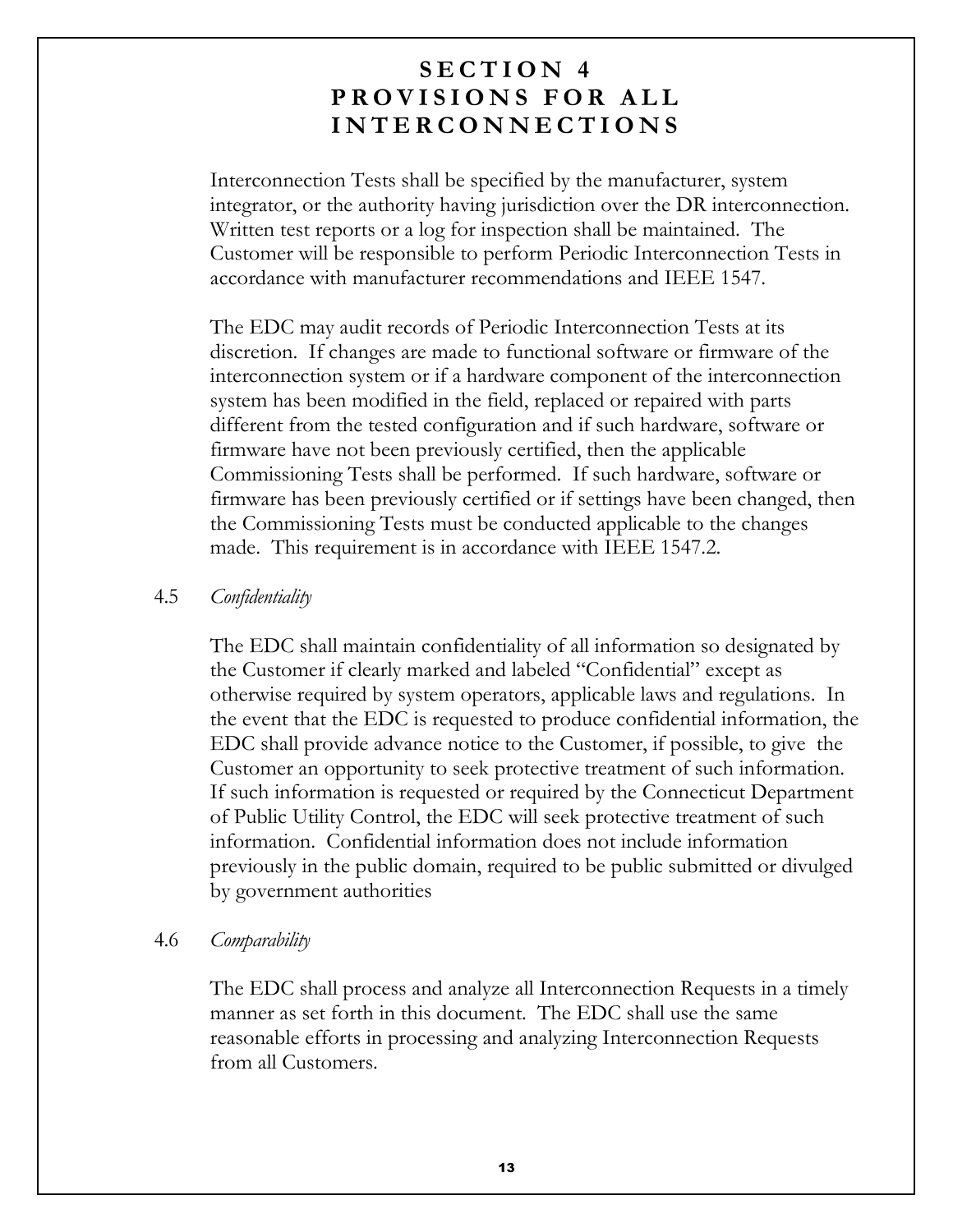Interconnection Tests shall be specified by the manufacturer, system integrator, or the authority having jurisdiction over the DR interconnection. Written test reports or a log for inspection shall be maintained. The Customer will be responsible to perform Periodic Interconnection Tests in accordance with manufacturer recommendations and IEEE 1547.

The EDC may audit records of Periodic Interconnection Tests at its discretion. If changes are made to functional software or firmware of the interconnection system or if a hardware component of the interconnection system has been modified in the field, replaced or repaired with parts different from the tested configuration and if such hardware, software or firmware have not been previously certified, then the applicable Commissioning Tests shall be performed. If such hardware, software or firmware has been previously certified or if settings have been changed, then the Commissioning Tests must be conducted applicable to the changes made. This requirement is in accordance with IEEE 1547.2.

#### 4.5 Confidentiality

The EDC shall maintain confidentiality of all information so designated by the Customer if clearly marked and labeled "Confidential" except as otherwise required by system operators, applicable laws and regulations. In the event that the EDC is requested to produce confidential information, the EDC shall provide advance notice to the Customer, if possible, to give the Customer an opportunity to seek protective treatment of such information. If such information is requested or required by the Connecticut Department of Public Utility Control, the EDC will seek protective treatment of such information. Confidential information does not include information previously in the public domain, required to be public submitted or divulged by government authorities

#### 4.6 Comparability

The EDC shall process and analyze all Interconnection Requests in a timely manner as set forth in this document. The EDC shall use the same reasonable efforts in processing and analyzing Interconnection Requests from all Customers.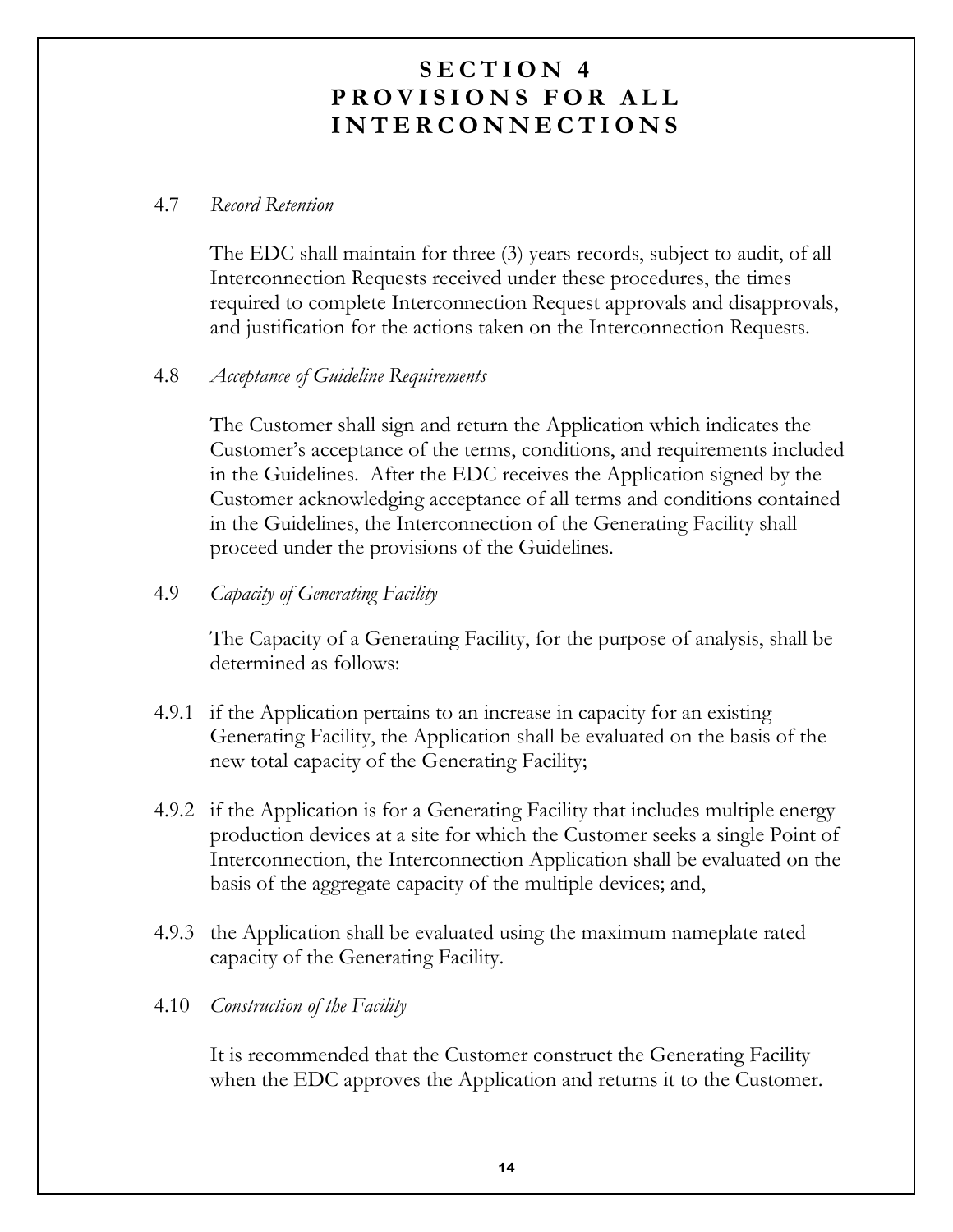#### 4.7 Record Retention

The EDC shall maintain for three (3) years records, subject to audit, of all Interconnection Requests received under these procedures, the times required to complete Interconnection Request approvals and disapprovals, and justification for the actions taken on the Interconnection Requests.

#### 4.8 Acceptance of Guideline Requirements

The Customer shall sign and return the Application which indicates the Customer's acceptance of the terms, conditions, and requirements included in the Guidelines. After the EDC receives the Application signed by the Customer acknowledging acceptance of all terms and conditions contained in the Guidelines, the Interconnection of the Generating Facility shall proceed under the provisions of the Guidelines.

4.9 Capacity of Generating Facility

> The Capacity of a Generating Facility, for the purpose of analysis, shall be determined as follows:

- 4.9.1 if the Application pertains to an increase in capacity for an existing Generating Facility, the Application shall be evaluated on the basis of the new total capacity of the Generating Facility;
- 4.9.2 if the Application is for a Generating Facility that includes multiple energy production devices at a site for which the Customer seeks a single Point of Interconnection, the Interconnection Application shall be evaluated on the basis of the aggregate capacity of the multiple devices; and,
- 4.9.3 the Application shall be evaluated using the maximum nameplate rated capacity of the Generating Facility.

#### 4.10 *Construction of the Facility*

It is recommended that the Customer construct the Generating Facility when the EDC approves the Application and returns it to the Customer.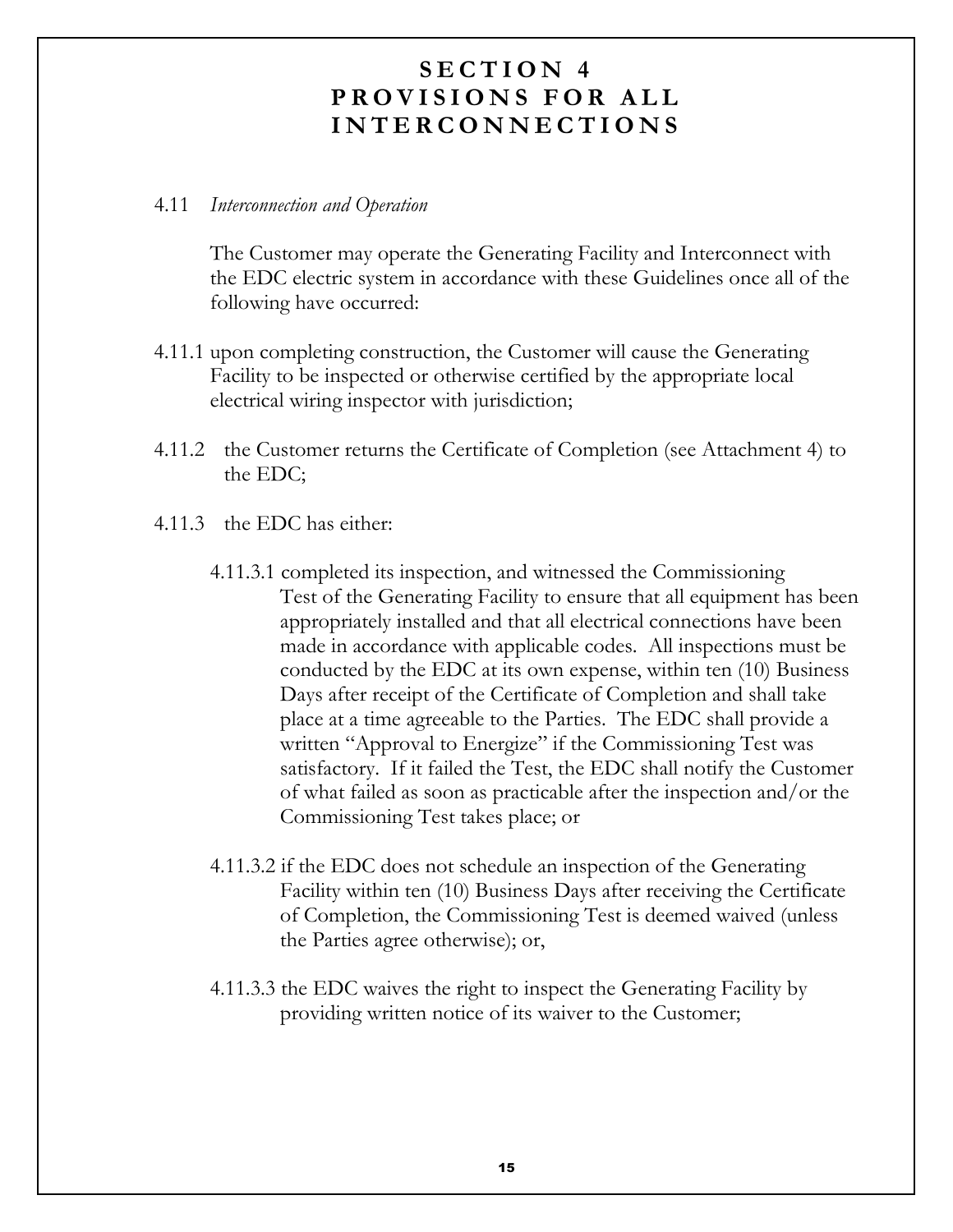#### 4.11 Interconnection and Operation

The Customer may operate the Generating Facility and Interconnect with the EDC electric system in accordance with these Guidelines once all of the following have occurred:

- 4.11.1 upon completing construction, the Customer will cause the Generating Facility to be inspected or otherwise certified by the appropriate local electrical wiring inspector with jurisdiction;
- 4.11.2 the Customer returns the Certificate of Completion (see Attachment 4) to the EDC;
- 4.11.3 the EDC has either:
	- 4.11.3.1 completed its inspection, and witnessed the Commissioning Test of the Generating Facility to ensure that all equipment has been appropriately installed and that all electrical connections have been made in accordance with applicable codes. All inspections must be conducted by the EDC at its own expense, within ten (10) Business Days after receipt of the Certificate of Completion and shall take place at a time agreeable to the Parties. The EDC shall provide a written "Approval to Energize" if the Commissioning Test was satisfactory. If it failed the Test, the EDC shall notify the Customer of what failed as soon as practicable after the inspection and/or the Commissioning Test takes place; or
	- 4.11.3.2 if the EDC does not schedule an inspection of the Generating Facility within ten (10) Business Days after receiving the Certificate of Completion, the Commissioning Test is deemed waived (unless the Parties agree otherwise); or,
	- 4.11.3.3 the EDC waives the right to inspect the Generating Facility by providing written notice of its waiver to the Customer;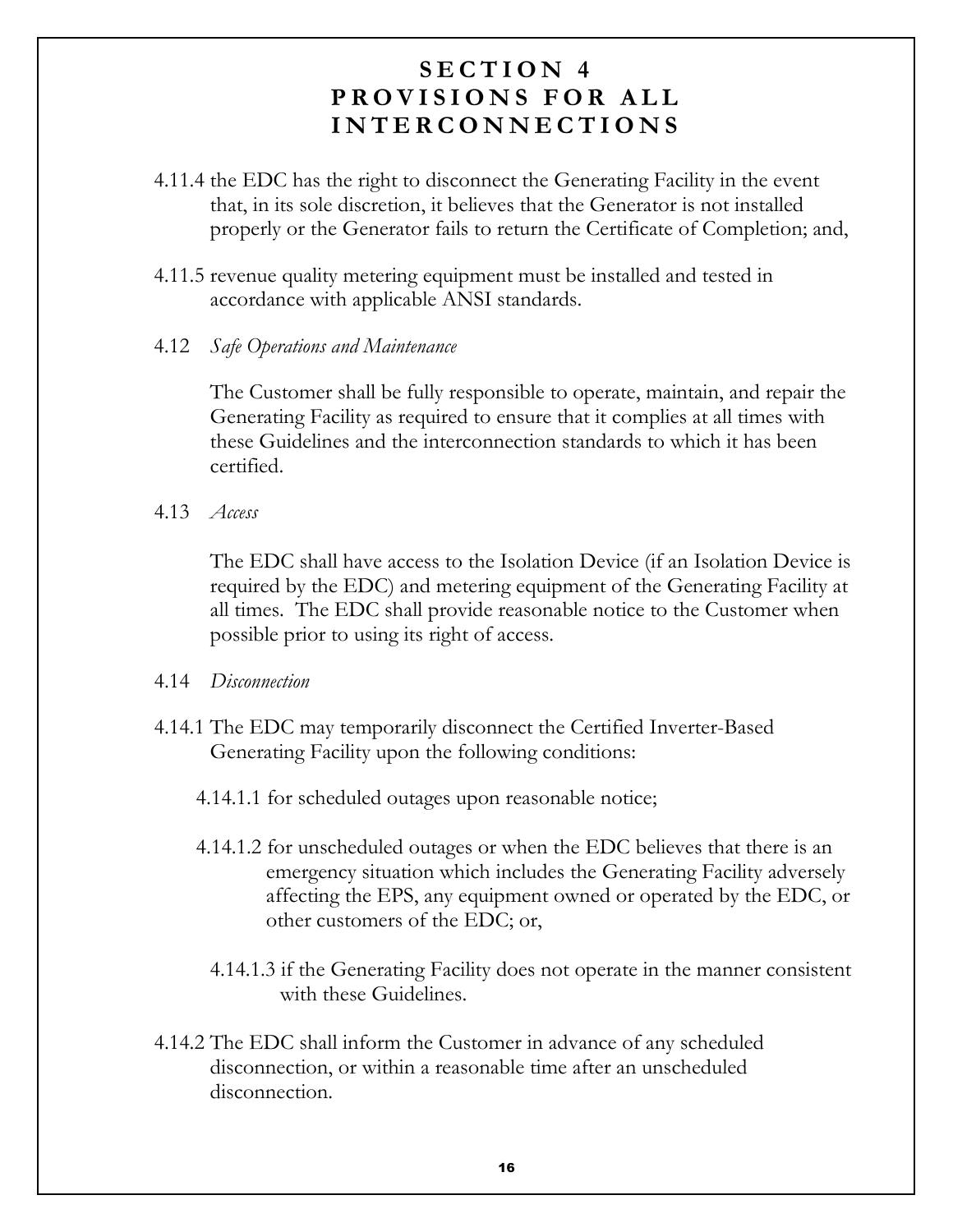- 4.11.4 the EDC has the right to disconnect the Generating Facility in the event that, in its sole discretion, it believes that the Generator is not installed properly or the Generator fails to return the Certificate of Completion; and,
- 4.11.5 revenue quality metering equipment must be installed and tested in accordance with applicable ANSI standards.
- 4.12 Safe Operations and Maintenance

The Customer shall be fully responsible to operate, maintain, and repair the Generating Facility as required to ensure that it complies at all times with these Guidelines and the interconnection standards to which it has been certified

 $4.13$  Access

The EDC shall have access to the Isolation Device (if an Isolation Device is required by the EDC) and metering equipment of the Generating Facility at all times. The EDC shall provide reasonable notice to the Customer when possible prior to using its right of access.

- 4.14 Disconnection
- 4.14.1 The EDC may temporarily disconnect the Certified Inverter-Based Generating Facility upon the following conditions:
	- 4.14.1.1 for scheduled outages upon reasonable notice;
	- 4.14.1.2 for unscheduled outages or when the EDC believes that there is an emergency situation which includes the Generating Facility adversely affecting the EPS, any equipment owned or operated by the EDC, or other customers of the EDC; or,
		- 4.14.1.3 if the Generating Facility does not operate in the manner consistent with these Guidelines.
- 4.14.2 The EDC shall inform the Customer in advance of any scheduled disconnection, or within a reasonable time after an unscheduled disconnection.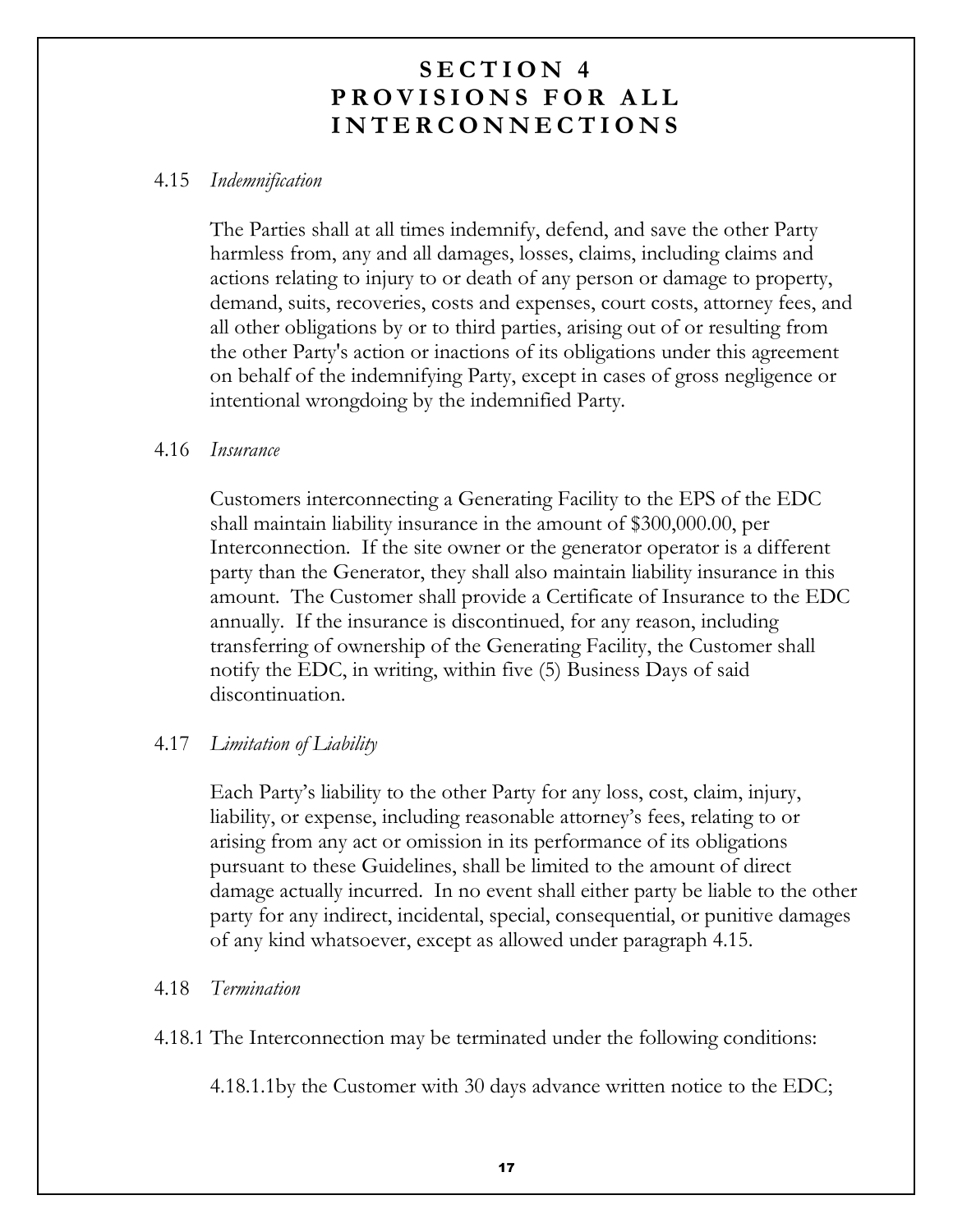#### 4.15 Indemnification

The Parties shall at all times indemnify, defend, and save the other Party harmless from, any and all damages, losses, claims, including claims and actions relating to injury to or death of any person or damage to property, demand, suits, recoveries, costs and expenses, court costs, attorney fees, and all other obligations by or to third parties, arising out of or resulting from the other Party's action or inactions of its obligations under this agreement on behalf of the indemnifying Party, except in cases of gross negligence or intentional wrongdoing by the indemnified Party.

#### 4.16 Insurance

Customers interconnecting a Generating Facility to the EPS of the EDC shall maintain liability insurance in the amount of \$300,000.00, per Interconnection. If the site owner or the generator operator is a different party than the Generator, they shall also maintain liability insurance in this amount. The Customer shall provide a Certificate of Insurance to the EDC annually. If the insurance is discontinued, for any reason, including transferring of ownership of the Generating Facility, the Customer shall notify the EDC, in writing, within five (5) Business Days of said discontinuation.

#### 4.17 Limitation of Liability

Each Party's liability to the other Party for any loss, cost, claim, injury, liability, or expense, including reasonable attorney's fees, relating to or arising from any act or omission in its performance of its obligations pursuant to these Guidelines, shall be limited to the amount of direct damage actually incurred. In no event shall either party be liable to the other party for any indirect, incidental, special, consequential, or punitive damages of any kind whatsoever, except as allowed under paragraph 4.15.

#### 4.18 Termination

4.18.1 The Interconnection may be terminated under the following conditions:

4.18.1.1by the Customer with 30 days advance written notice to the EDC;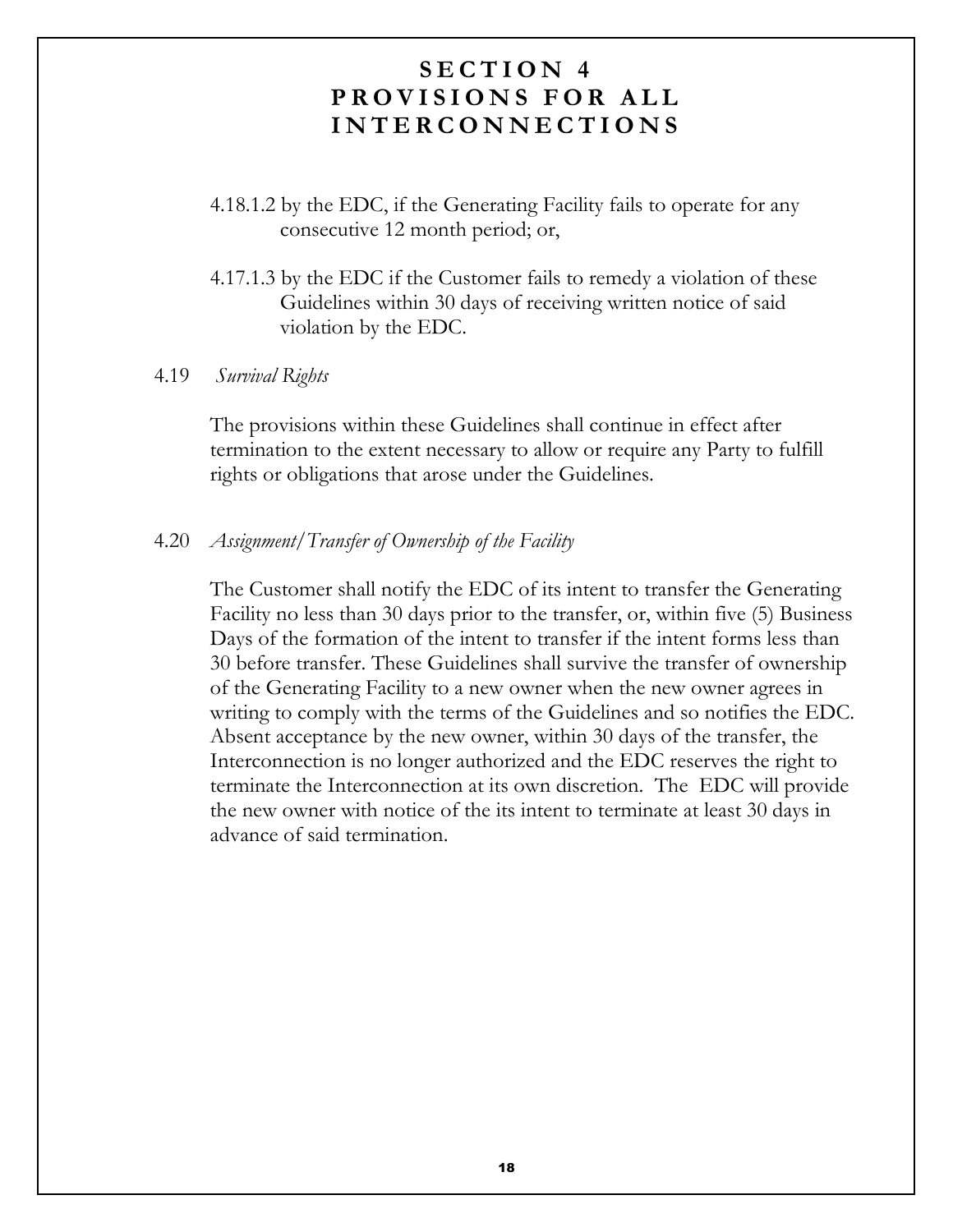- 4.18.1.2 by the EDC, if the Generating Facility fails to operate for any consecutive 12 month period; or,
- 4.17.1.3 by the EDC if the Customer fails to remedy a violation of these Guidelines within 30 days of receiving written notice of said violation by the EDC.

#### 4.19 Survival Rights

The provisions within these Guidelines shall continue in effect after termination to the extent necessary to allow or require any Party to fulfill rights or obligations that arose under the Guidelines.

#### $4.20$ Assignment/Transfer of Ownership of the Facility

The Customer shall notify the EDC of its intent to transfer the Generating Facility no less than 30 days prior to the transfer, or, within five (5) Business Days of the formation of the intent to transfer if the intent forms less than 30 before transfer. These Guidelines shall survive the transfer of ownership of the Generating Facility to a new owner when the new owner agrees in writing to comply with the terms of the Guidelines and so notifies the EDC. Absent acceptance by the new owner, within 30 days of the transfer, the Interconnection is no longer authorized and the EDC reserves the right to terminate the Interconnection at its own discretion. The EDC will provide the new owner with notice of the its intent to terminate at least 30 days in advance of said termination.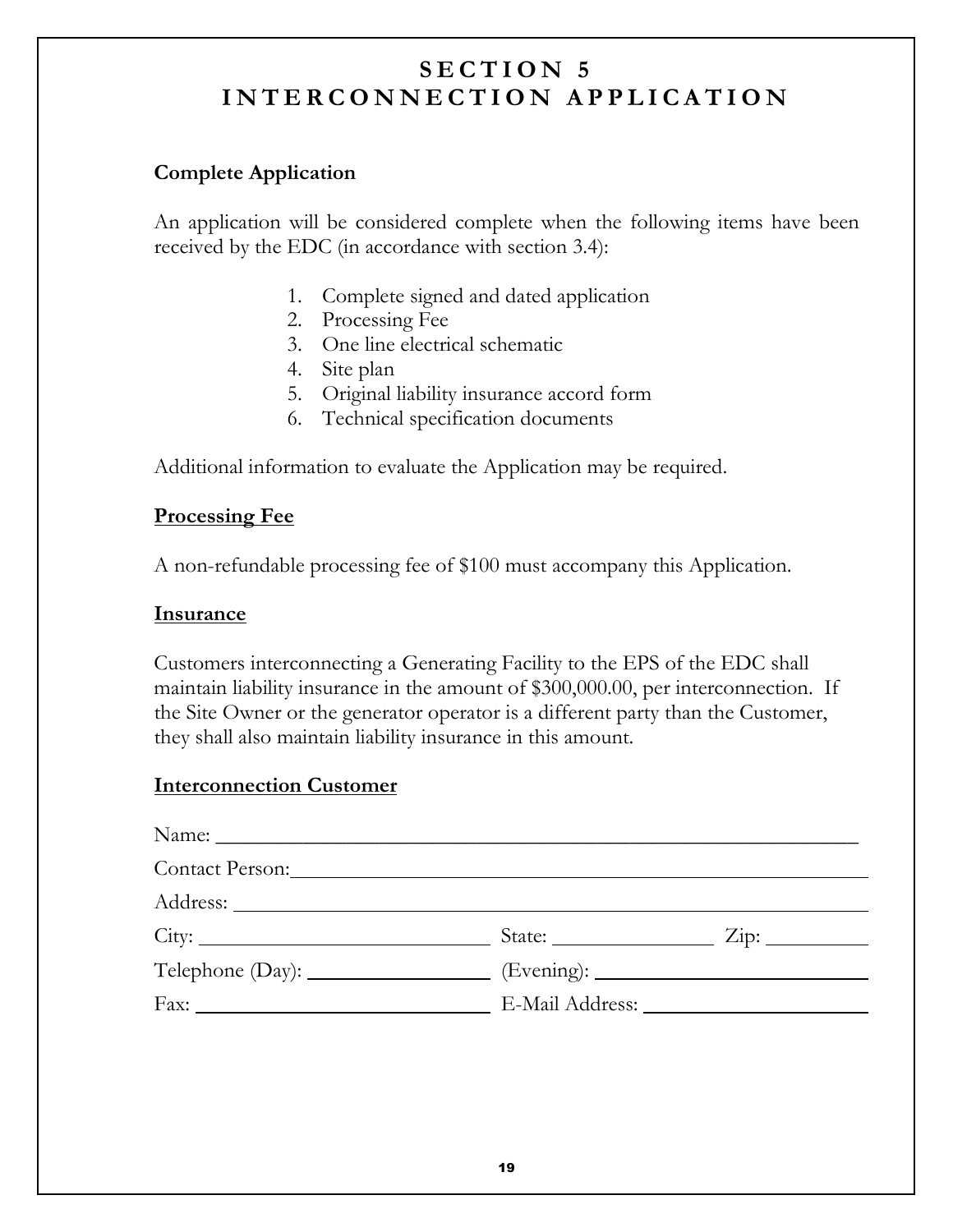#### **Complete Application**

An application will be considered complete when the following items have been received by the EDC (in accordance with section 3.4):

- 1. Complete signed and dated application
- 2. Processing Fee
- 3. One line electrical schematic
- 4. Site plan
- 5. Original liability insurance accord form
- 6. Technical specification documents

Additional information to evaluate the Application may be required.

#### **Processing Fee**

A non-refundable processing fee of \$100 must accompany this Application.

#### **Insurance**

Customers interconnecting a Generating Facility to the EPS of the EDC shall maintain liability insurance in the amount of \$300,000.00, per interconnection. If the Site Owner or the generator operator is a different party than the Customer, they shall also maintain liability insurance in this amount.

#### **Interconnection Customer**

| Contact Person: 2008                                                              |                                          |  |
|-----------------------------------------------------------------------------------|------------------------------------------|--|
|                                                                                   |                                          |  |
|                                                                                   | State: $\frac{\text{Size}}{\text{Size}}$ |  |
| Telephone (Day): ____________________ (Evening): ________________________________ |                                          |  |
| Fax: E-Mail Address:                                                              |                                          |  |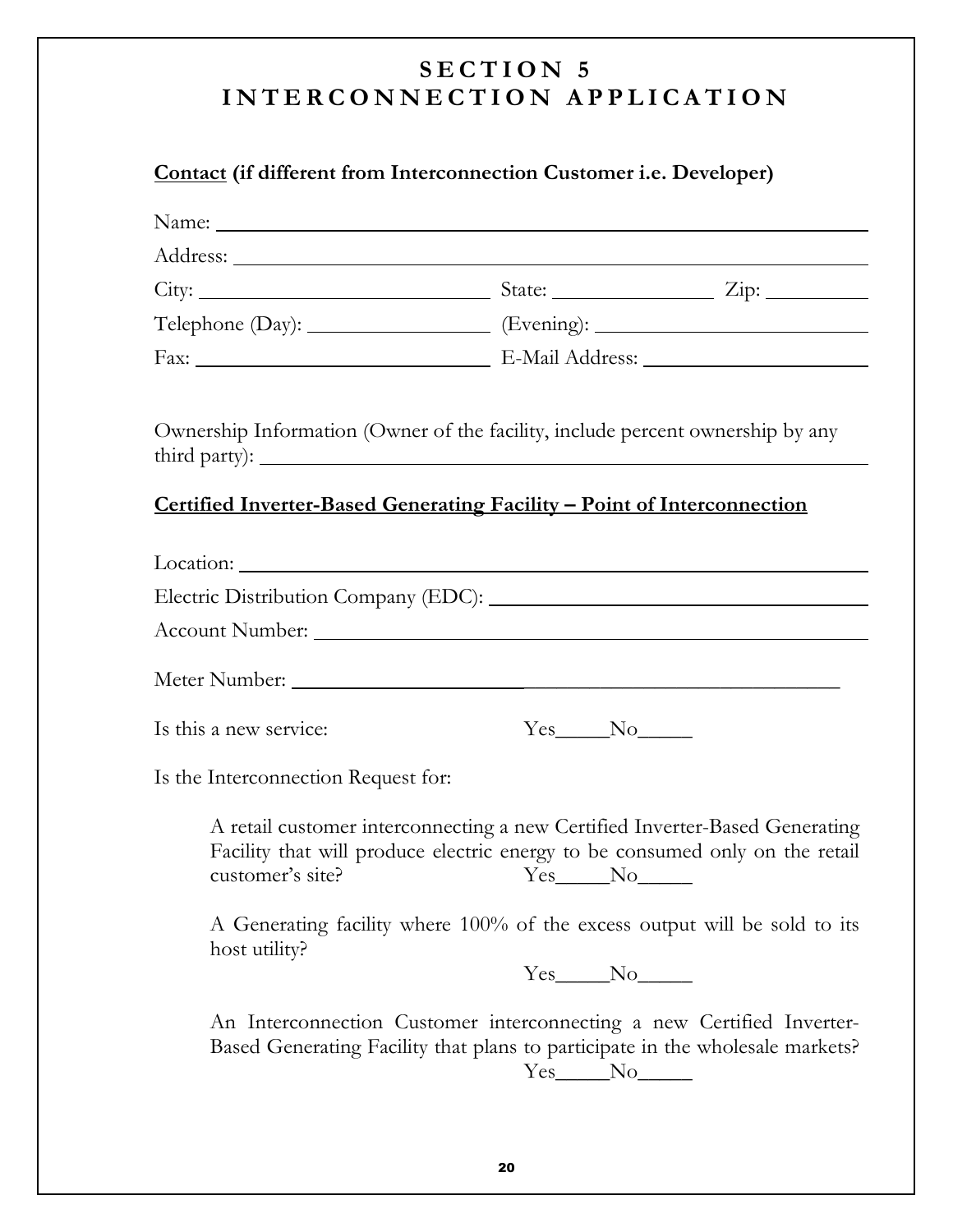#### Contact (if different from Interconnection Customer i.e. Developer)

| Name:                                                                             |              |                                                                                                                                                                                                                                          |
|-----------------------------------------------------------------------------------|--------------|------------------------------------------------------------------------------------------------------------------------------------------------------------------------------------------------------------------------------------------|
|                                                                                   |              |                                                                                                                                                                                                                                          |
|                                                                                   |              |                                                                                                                                                                                                                                          |
| Telephone (Day): ___________________ (Evening): _________________________________ |              |                                                                                                                                                                                                                                          |
|                                                                                   |              |                                                                                                                                                                                                                                          |
| Ownership Information (Owner of the facility, include percent ownership by any    |              |                                                                                                                                                                                                                                          |
| Certified Inverter-Based Generating Facility - Point of Interconnection           |              |                                                                                                                                                                                                                                          |
|                                                                                   |              |                                                                                                                                                                                                                                          |
|                                                                                   |              |                                                                                                                                                                                                                                          |
|                                                                                   |              |                                                                                                                                                                                                                                          |
|                                                                                   |              |                                                                                                                                                                                                                                          |
| Is this a new service:                                                            | $Yes$ No $N$ |                                                                                                                                                                                                                                          |
| Is the Interconnection Request for:                                               |              |                                                                                                                                                                                                                                          |
| customer's site?                                                                  | Yes No       | A retail customer interconnecting a new Certified Inverter-Based Generating<br>Facility that will produce electric energy to be consumed only on the retail<br>A Generating facility where 100% of the excess output will be sold to its |
| host utility?                                                                     | $Yes$ No $N$ |                                                                                                                                                                                                                                          |
|                                                                                   | $Yes$ No $N$ | An Interconnection Customer interconnecting a new Certified Inverter-<br>Based Generating Facility that plans to participate in the wholesale markets?                                                                                   |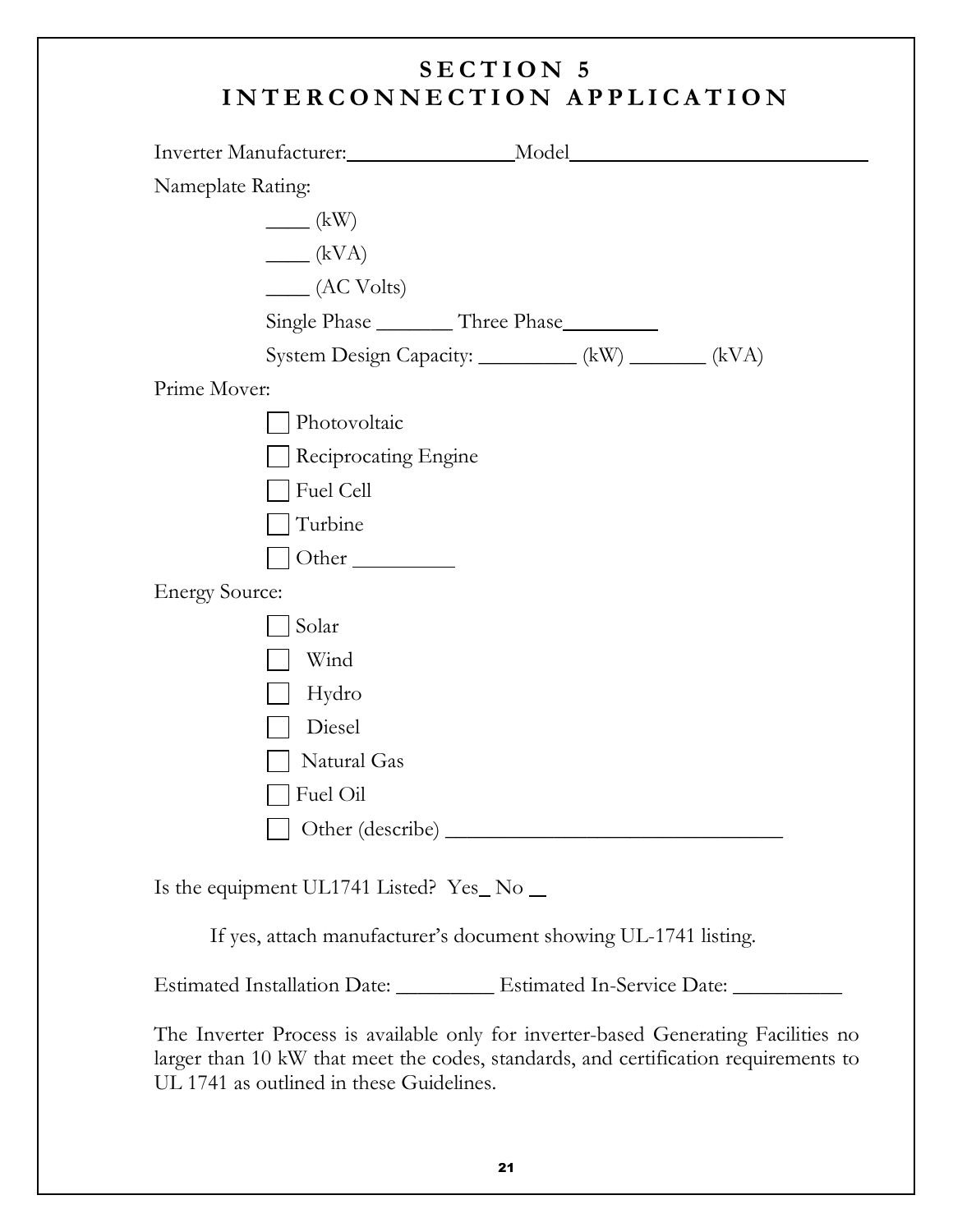|                       | Inverter Manufacturer:                                                             | _Model_ |  |
|-----------------------|------------------------------------------------------------------------------------|---------|--|
| Nameplate Rating:     |                                                                                    |         |  |
|                       | $\frac{1}{\sqrt{2\pi}}$ (kW)                                                       |         |  |
|                       | $\frac{1}{\sqrt{1-\frac{1}{2}}}$                                                   |         |  |
|                       | $\frac{1}{2}$ (AC Volts)                                                           |         |  |
|                       | Single Phase __________ Three Phase__________                                      |         |  |
|                       | System Design Capacity: __________ (kW) _______ (kVA)                              |         |  |
| Prime Mover:          |                                                                                    |         |  |
|                       | Photovoltaic                                                                       |         |  |
|                       | Reciprocating Engine                                                               |         |  |
|                       | Fuel Cell                                                                          |         |  |
|                       | Turbine                                                                            |         |  |
|                       | Other $\_\_$                                                                       |         |  |
| <b>Energy Source:</b> |                                                                                    |         |  |
|                       | Solar                                                                              |         |  |
|                       | Wind                                                                               |         |  |
|                       | Hydro                                                                              |         |  |
|                       | Diesel                                                                             |         |  |
|                       | Natural Gas                                                                        |         |  |
|                       | Fuel Oil                                                                           |         |  |
|                       |                                                                                    |         |  |
|                       | Is the equipment UL1741 Listed? $Yes\_\text{No}\_\text{--}$                        |         |  |
|                       | If yes, attach manufacturer's document showing UL-1741 listing.                    |         |  |
|                       | Estimated Installation Date: _________ Estimated In-Service Date: _________        |         |  |
|                       | The Inverter Process is available only for inverter-based Generating Facilities no |         |  |

larger than 10 kW that meet the codes, standards, and certification requirements to UL 1741 as outlined in these Guidelines.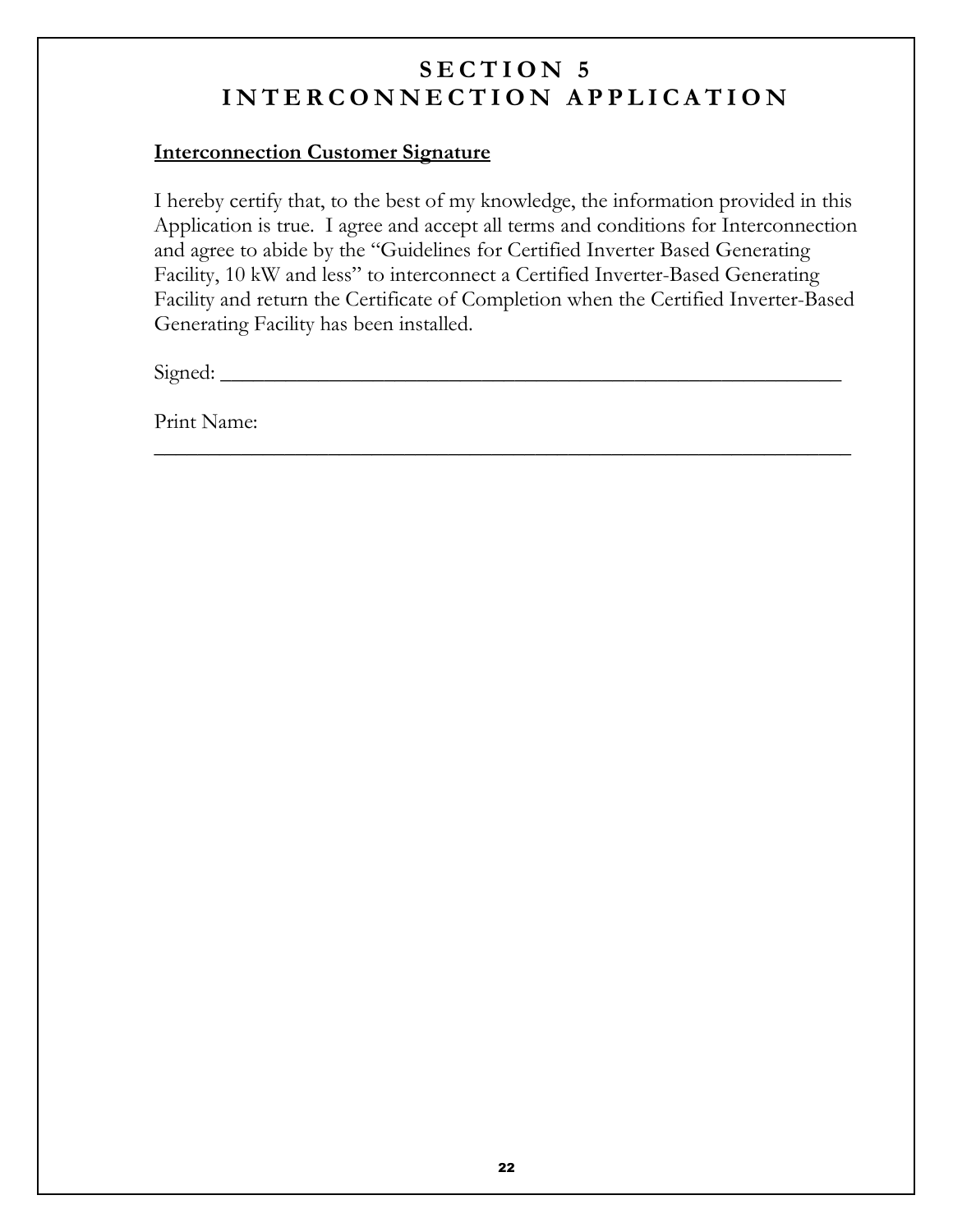#### **Interconnection Customer Signature**

I hereby certify that, to the best of my knowledge, the information provided in this Application is true. I agree and accept all terms and conditions for Interconnection and agree to abide by the "Guidelines for Certified Inverter Based Generating Facility, 10 kW and less" to interconnect a Certified Inverter-Based Generating Facility and return the Certificate of Completion when the Certified Inverter-Based Generating Facility has been installed.

MMMMMMMMMMMMMMMMMMMMMMMMMMMMMMMMMMMMMMMMMMMMMMMMMMMMMMMMMMMMMMMM

> MMMMMMMMMMMMMMMMMMMMMMMMMMMMMMMMMMMMMMMMMMMMMMMMMMMMMMMMM

Signed:

Print Name: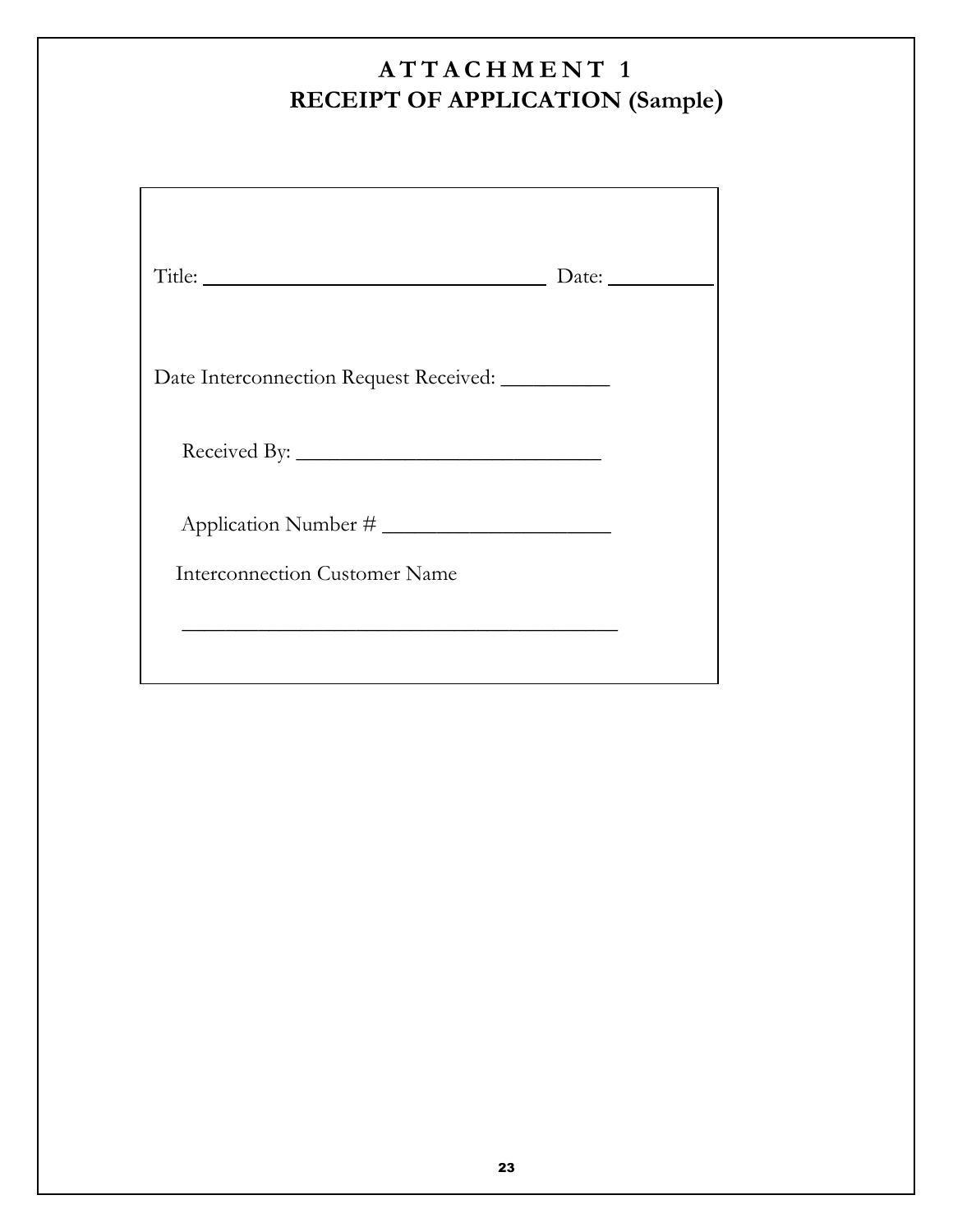# ATTACHMENT 1 RECEIPT OF APPLICATION (Sample)

|                                                   | Date: $\_\_$ |
|---------------------------------------------------|--------------|
| Date Interconnection Request Received: __________ |              |
|                                                   |              |
|                                                   |              |
| <b>Interconnection Customer Name</b>              |              |
|                                                   |              |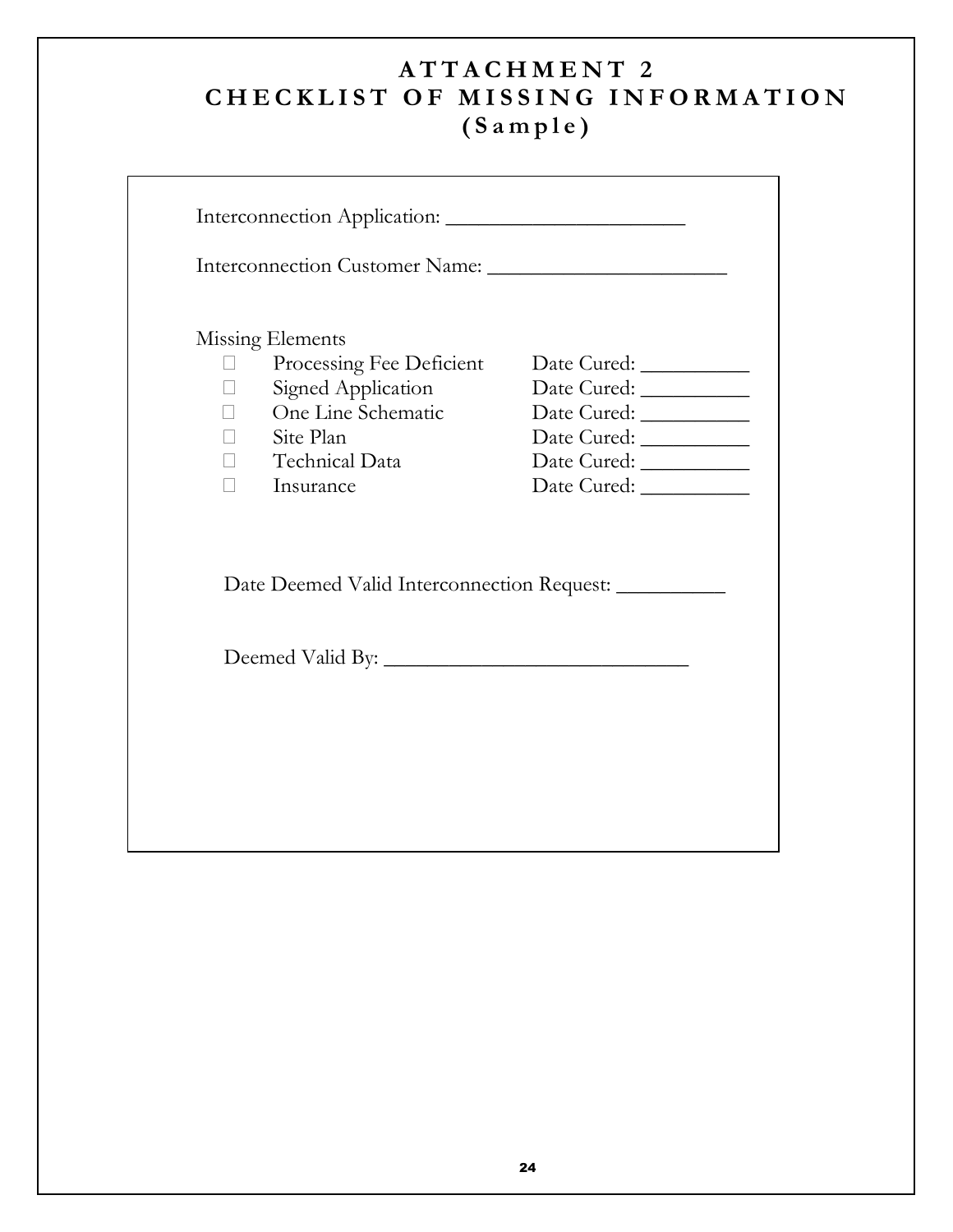### $\mathbf{ATTACHMENT}$  2 CHECKLIST OF MISSING INFORMATION  $(Sample)$

|    | Missing Elements                                      |  |
|----|-------------------------------------------------------|--|
| R  | Processing Fee Deficient                              |  |
| R. | Signed Application                                    |  |
| R  | One Line Schematic                                    |  |
|    | R Site Plan                                           |  |
|    | R Technical Data                                      |  |
|    | R Insurance                                           |  |
|    | Date Deemed Valid Interconnection Request: __________ |  |
|    |                                                       |  |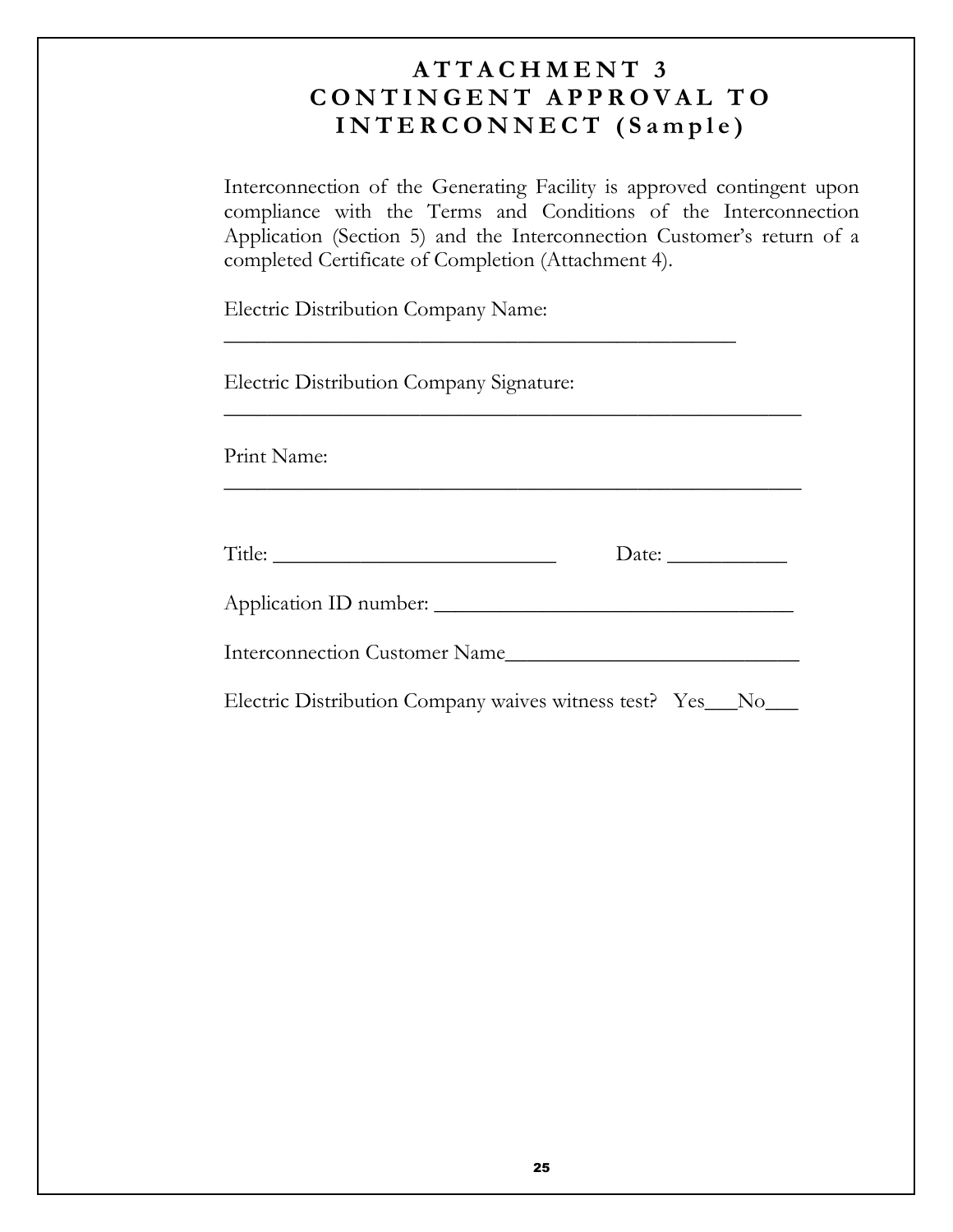### $ATTACHMENT$  3 CONTINGENT APPROVAL TO INTERCONNECT (Sample)

Interconnection of the Generating Facility is approved contingent upon compliance with the Terms and Conditions of the Interconnection Application (Section 5) and the Interconnection Customer's return of a completed Certificate of Completion (Attachment 4).

Electric Distribution Company Name:

Electric Distribution Company Signature:

Print Name:

| $\mathbf{r}$<br>$\mathbf{1}$ | acc<br>- |
|------------------------------|----------|
|                              |          |

MMMMMMMMMMMMMMMMMMMMMMMMMMMMMMMMMMMMMMMMMMMMMMMMMMMMM

MMMMMMMMMMMMMMMMMMMMMMMMMMMMMMMMMMMMMMMMMMMMMMMMMMMMM

MMMMMMMMMMMMMMMMMMMMMMMMMMMMMMMMMMMMMMMMMMMMMMM

! \* '> MMMMMMMMMMMMMMMMMMMMMMMMMMMMMMMMM

 - 1MMMMMMMMMMMMMMMMMMMMMMMMMMM

Electric Distribution Company waives witness test? Yes\_\_No\_\_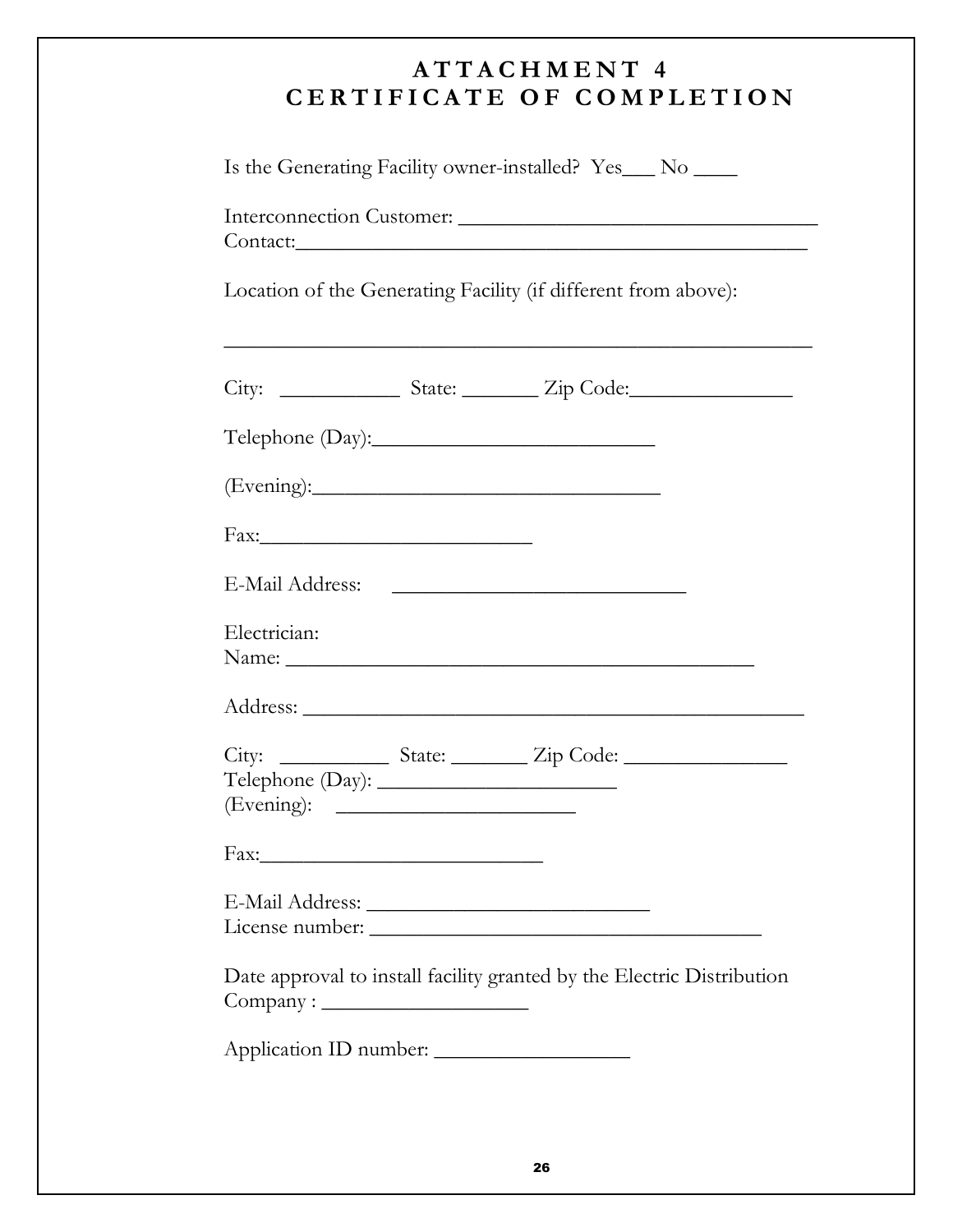### $ATTACHMENT$  4 CERTIFICATE OF COMPLETION

Is the Generating Facility owner-installed? Yes\_\_\_ No \_\_\_\_

| Interconnection Customer: |  |
|---------------------------|--|
| Contact:                  |  |

Location of the Generating Facility (if different from above):

| Electrician:           | Name: Name and the second contract of the second contract of the second contract of the second contract of the second contract of the second contract of the second contract of the second contract of the second contract of |  |
|------------------------|-------------------------------------------------------------------------------------------------------------------------------------------------------------------------------------------------------------------------------|--|
|                        |                                                                                                                                                                                                                               |  |
|                        |                                                                                                                                                                                                                               |  |
|                        |                                                                                                                                                                                                                               |  |
|                        |                                                                                                                                                                                                                               |  |
|                        | Date approval to install facility granted by the Electric Distribution                                                                                                                                                        |  |
| Application ID number: |                                                                                                                                                                                                                               |  |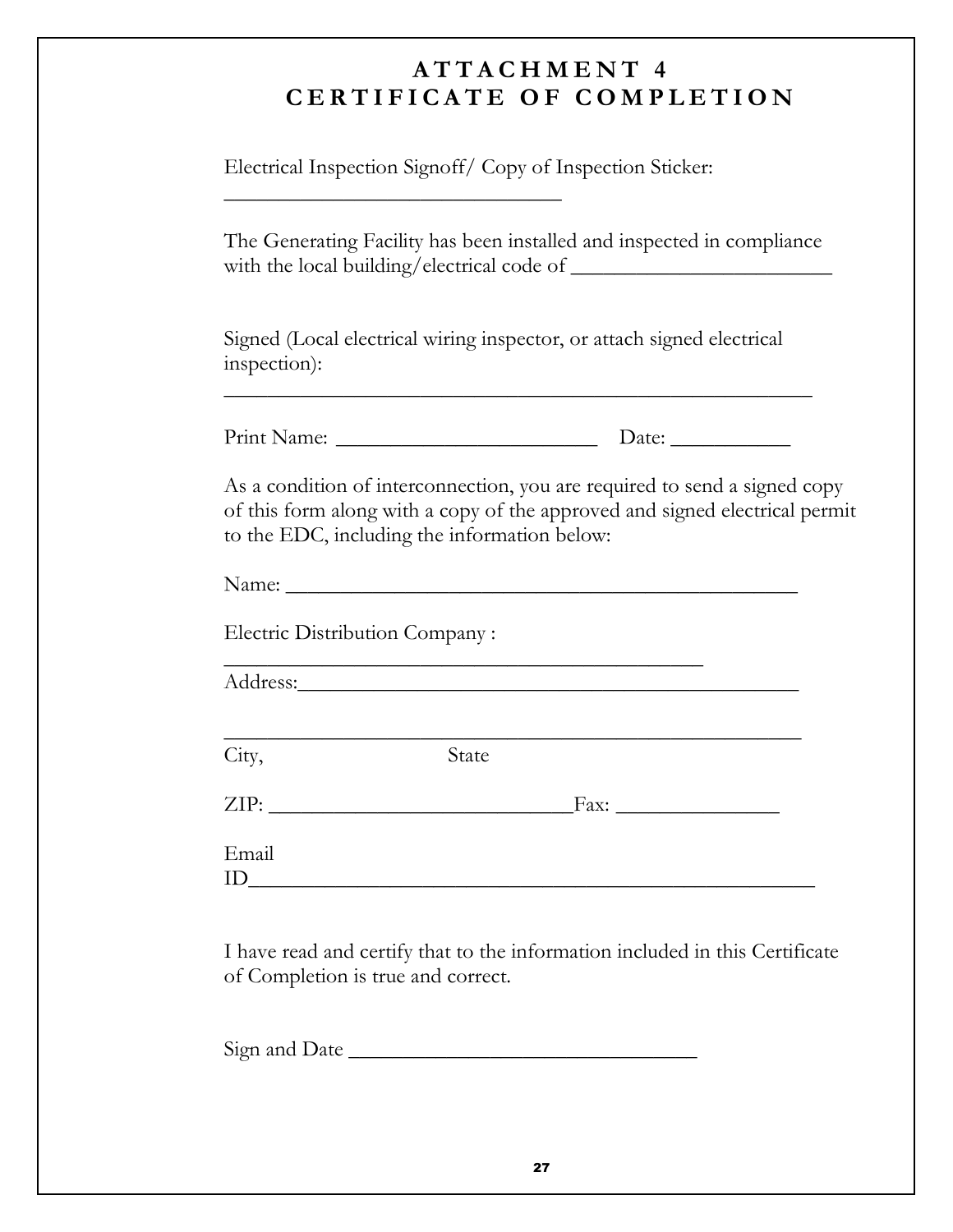## $ATTACHMENT$  4 CERTIFICATE OF COMPLETION

Electrical Inspection Signoff/ Copy of Inspection Sticker:

MMMMMMMMMMMMMMMMMMMMMMM

The Generating Facility has been installed and inspected in compliance &' C MMMMMMMMMMMMMMMMMMMMMMMM

Signed (Local electrical wiring inspector, or attach signed electrical inspection):

9 1> MMMMMMMMMMMMMMMMMMMMMMMM \*> MMMMMMMMMMM

MMMMMMMMMMMMMMMMMMMMMMMMMMMMMMMMMMMMMMMMMMMMMMMMMMMMMM

As a condition of interconnection, you are required to send a signed copy of this form along with a copy of the approved and signed electrical permit to the EDC, including the information below:

Name:

Electric Distribution Company:

MMMMMMMMMMMMMMMMMMMMMMMMMMMMMMM Address:

MMMMMMMMMMMMMMMMMMMMMMMMMMMMMMMMMMMMMMMMMMMMMMMMMMMMM City,

**State** 

ZIP: Fax:

Email  $\text{ID}$ 

I have read and certify that to the information included in this Certificate of Completion is true and correct.

5 \*MMMMMMMMMMMMMMMMMMMMMMMMMMMMMMMM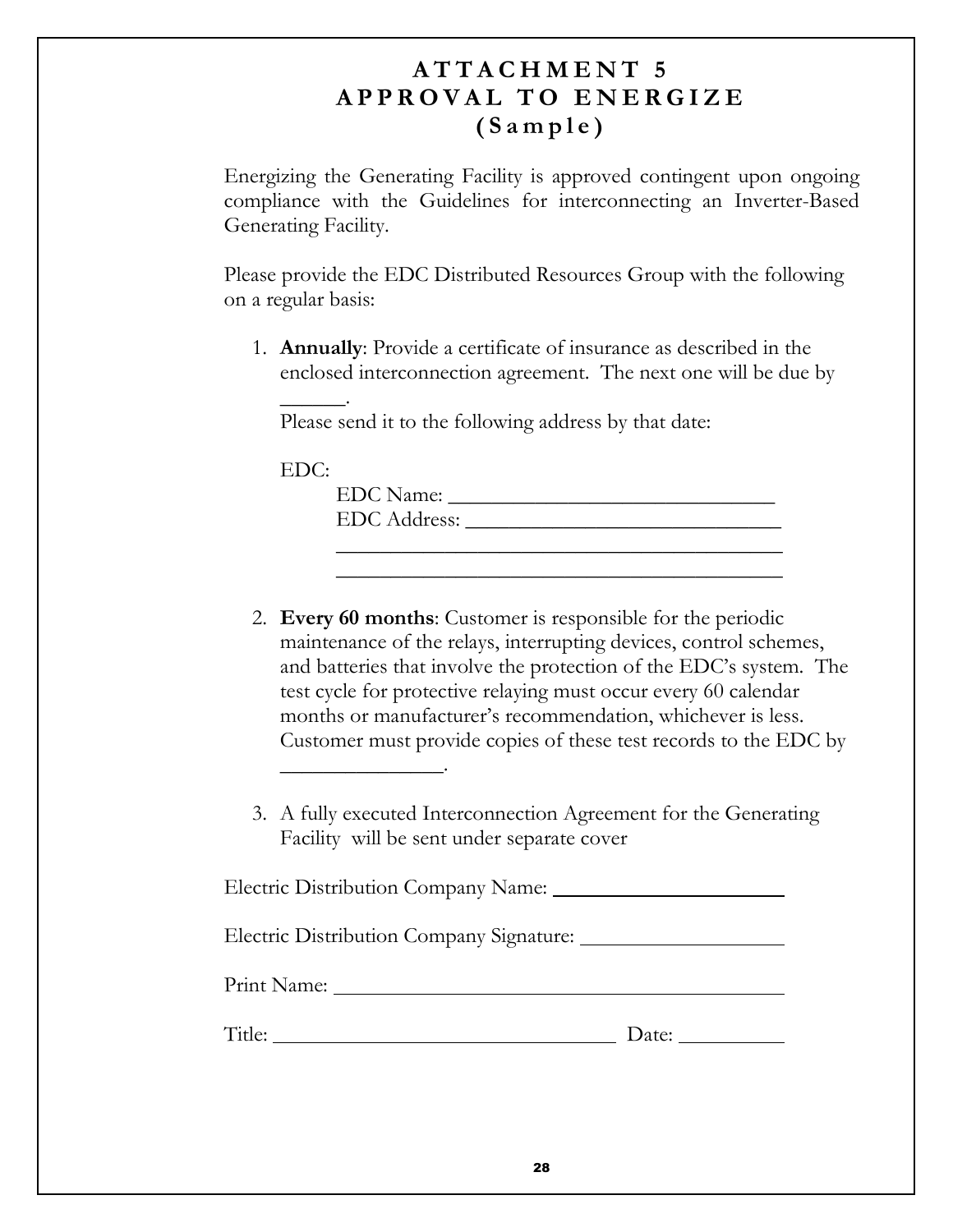### $ATTACHMENT$  5 APPROVAL TO ENERGIZE  $(Sample)$

Energizing the Generating Facility is approved contingent upon ongoing compliance with the Guidelines for interconnecting an Inverter-Based Generating Facility.

Please provide the EDC Distributed Resources Group with the following on a regular basis:

1. Annually: Provide a certificate of insurance as described in the enclosed interconnection agreement. The next one will be due by

Please send it to the following address by that date:

EDC:

@@@@@@@@@@@@@@@

@@@@@@

)\*- 1> MMMMMMMMMMMMMMMMMMMMMMMMMMMMMM )\*- !> MMMMMMMMMMMMMMMMMMMMMMMMMMMMM MMMMMMMMMMMMMMMMMMMMMMMMMMMMMMMMMMMMMMMMM

MMMMMMMMMMMMMMMMMMMMMMMMMMMMMMMMMMMMMMMMM

- 2. Every 60 months: Customer is responsible for the periodic maintenance of the relays, interrupting devices, control schemes, and batteries that involve the protection of the EDC's system. The test cycle for protective relaying must occur every 60 calendar months or manufacturer's recommendation, whichever is less. Customer must provide copies of these test records to the EDC by
- 3. A fully executed Interconnection Agreement for the Generating Facility will be sent under separate cover

Electric Distribution Company Name: Electric Distribution Company Signature: Print Name: Title: Date: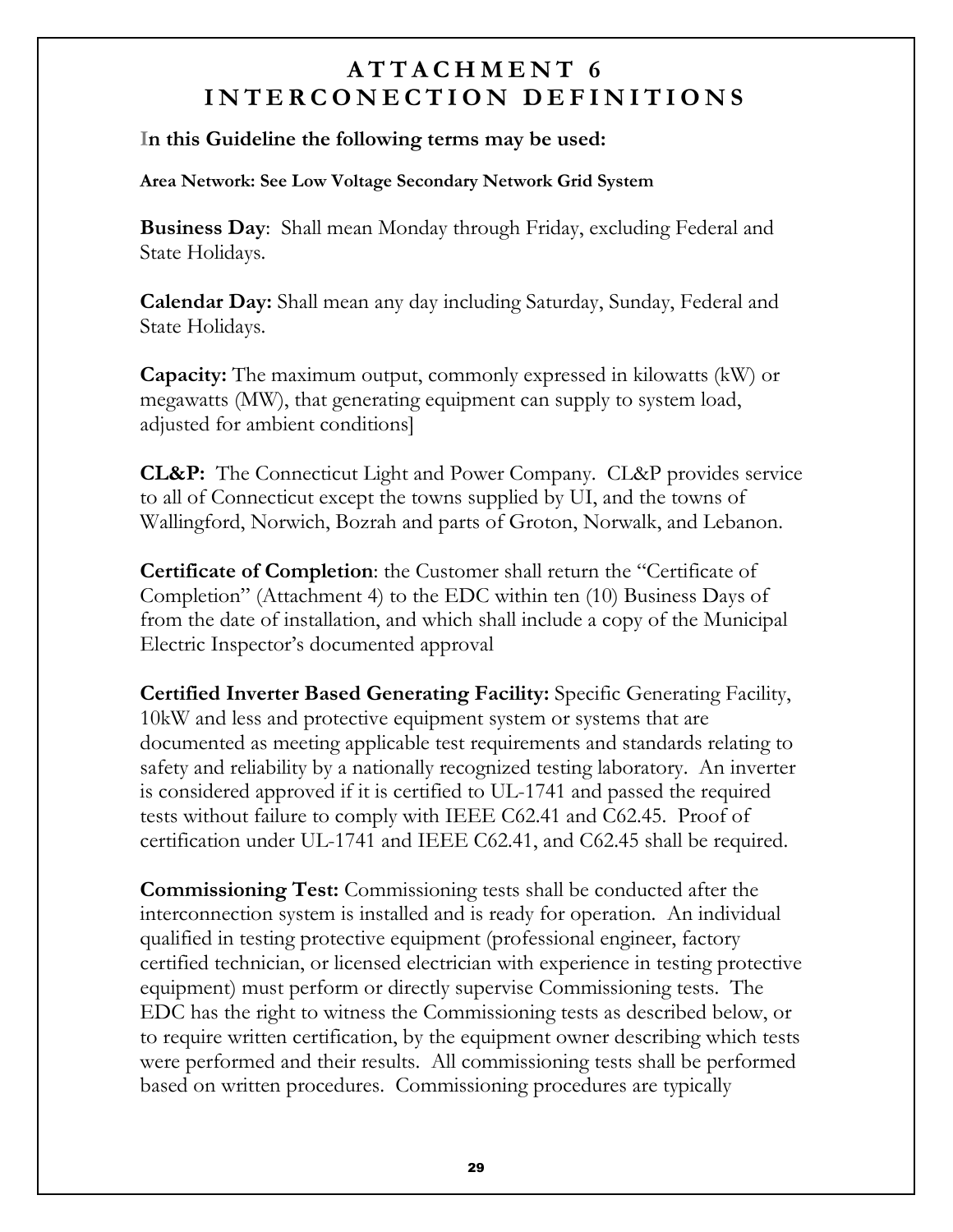In this Guideline the following terms may be used:

Area Network: See Low Voltage Secondary Network Grid System

**Business Day:** Shall mean Monday through Friday, excluding Federal and State Holidays.

**Calendar Day:** Shall mean any day including Saturday, Sunday, Federal and State Holidays.

**Capacity:** The maximum output, commonly expressed in kilowatts (kW) or megawatts (MW), that generating equipment can supply to system load, adjusted for ambient conditions.

**CL&P:** The Connecticut Light and Power Company. CL&P provides service to all of Connecticut except the towns supplied by UI, and the towns of Wallingford, Norwich, Bozrah and parts of Groton, Norwalk, and Lebanon.

**Certificate of Completion:** the Customer shall return the "Certificate of Completion" (Attachment 4) to the EDC within ten (10) Business Days of from the date of installation, and which shall include a copy of the Municipal Electric Inspector's documented approval

**Certified Inverter Based Generating Facility:** Specific Generating Facility, 10 kW and less and protective equipment system or systems that are documented as meeting applicable test requirements and standards relating to safety and reliability by a nationally recognized testing laboratory. An inverter is considered approved if it is certified to UL-1741 and passed the required tests without failure to comply with IEEE C62.41 and C62.45. Proof of certification under UL-1741 and IEEE C62.41, and C62.45 shall be required.

**Commissioning Test:** Commissioning tests shall be conducted after the interconnection system is installed and is ready for operation. An individual qualified in testing protective equipment (professional engineer, factory certified technician, or licensed electrician with experience in testing protective equipment) must perform or directly supervise Commissioning tests. The EDC has the right to witness the Commissioning tests as described below, or to require written certification, by the equipment owner describing which tests were performed and their results. All commissioning tests shall be performed based on written procedures. Commissioning procedures are typically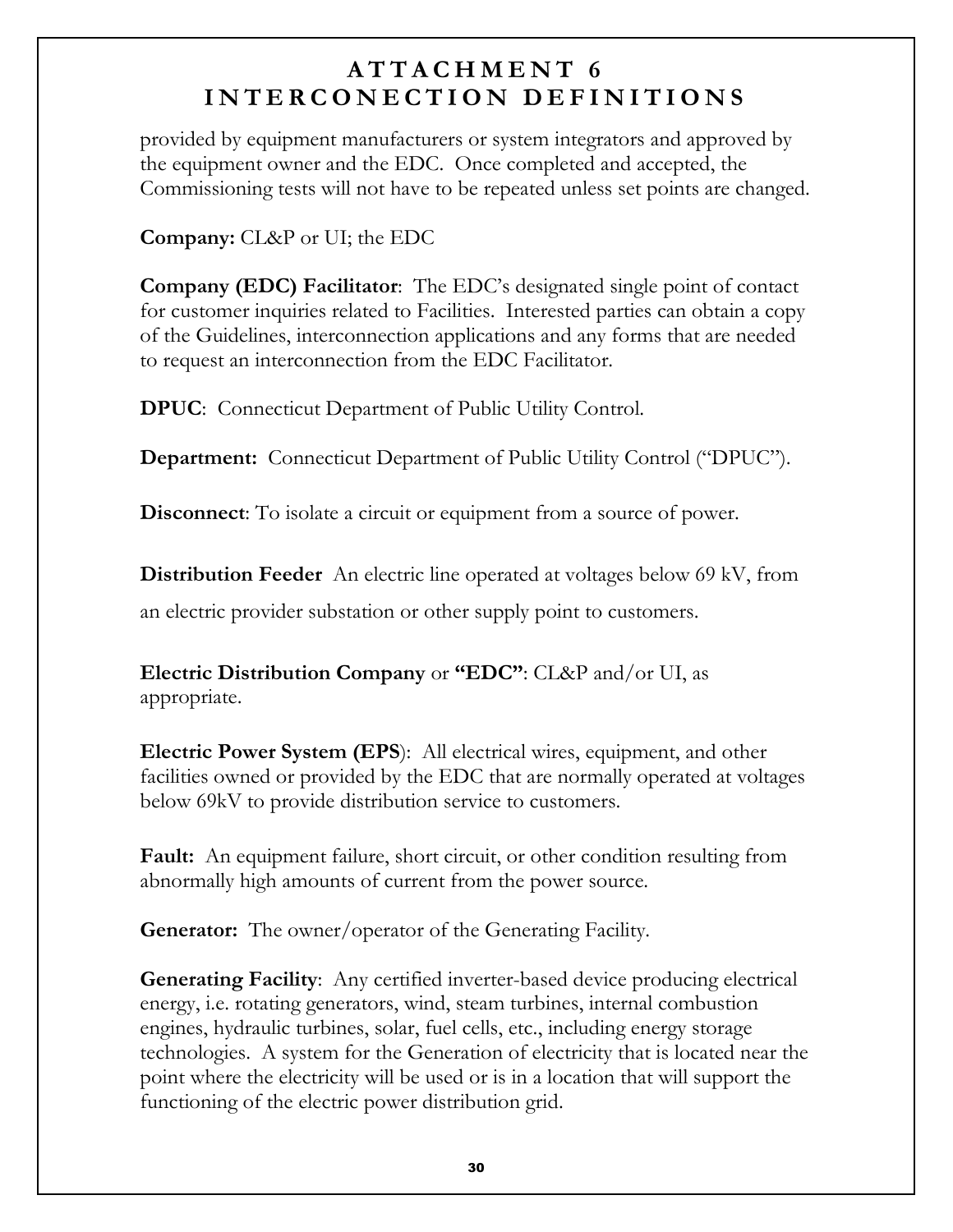provided by equipment manufacturers or system integrators and approved by the equipment owner and the EDC. Once completed and accepted, the Commissioning tests will not have to be repeated unless set points are changed.

**Company:** CL&P or UI; the EDC

**Company (EDC) Facilitator**: The EDC's designated single point of contact for customer inquiries related to Facilities. Interested parties can obtain a copy of the Guidelines, interconnection applications and any forms that are needed to request an interconnection from the EDC Facilitator.

**DPUC:** Connecticut Department of Public Utility Control.

Department: Connecticut Department of Public Utility Control ("DPUC").

**Disconnect:** To isolate a circuit or equipment from a source of power.

**Distribution Feeder** An electric line operated at voltages below 69 kV, from

an electric provider substation or other supply point to customers.

**Electric Distribution Company** or "**EDC**": CL&P and/or UI, as appropriate.

**Electric Power System (EPS):** All electrical wires, equipment, and other facilities owned or provided by the EDC that are normally operated at voltages below 69kV to provide distribution service to customers.

**Fault:** An equipment failure, short circuit, or other condition resulting from abnormally high amounts of current from the power source.

**Generator:** The owner/operator of the Generating Facility.

**Generating Facility:** Any certified inverter-based device producing electrical energy, i.e. rotating generators, wind, steam turbines, internal combustion engines, hydraulic turbines, solar, fuel cells, etc., including energy storage technologies. A system for the Generation of electricity that is located near the point where the electricity will be used or is in a location that will support the functioning of the electric power distribution grid.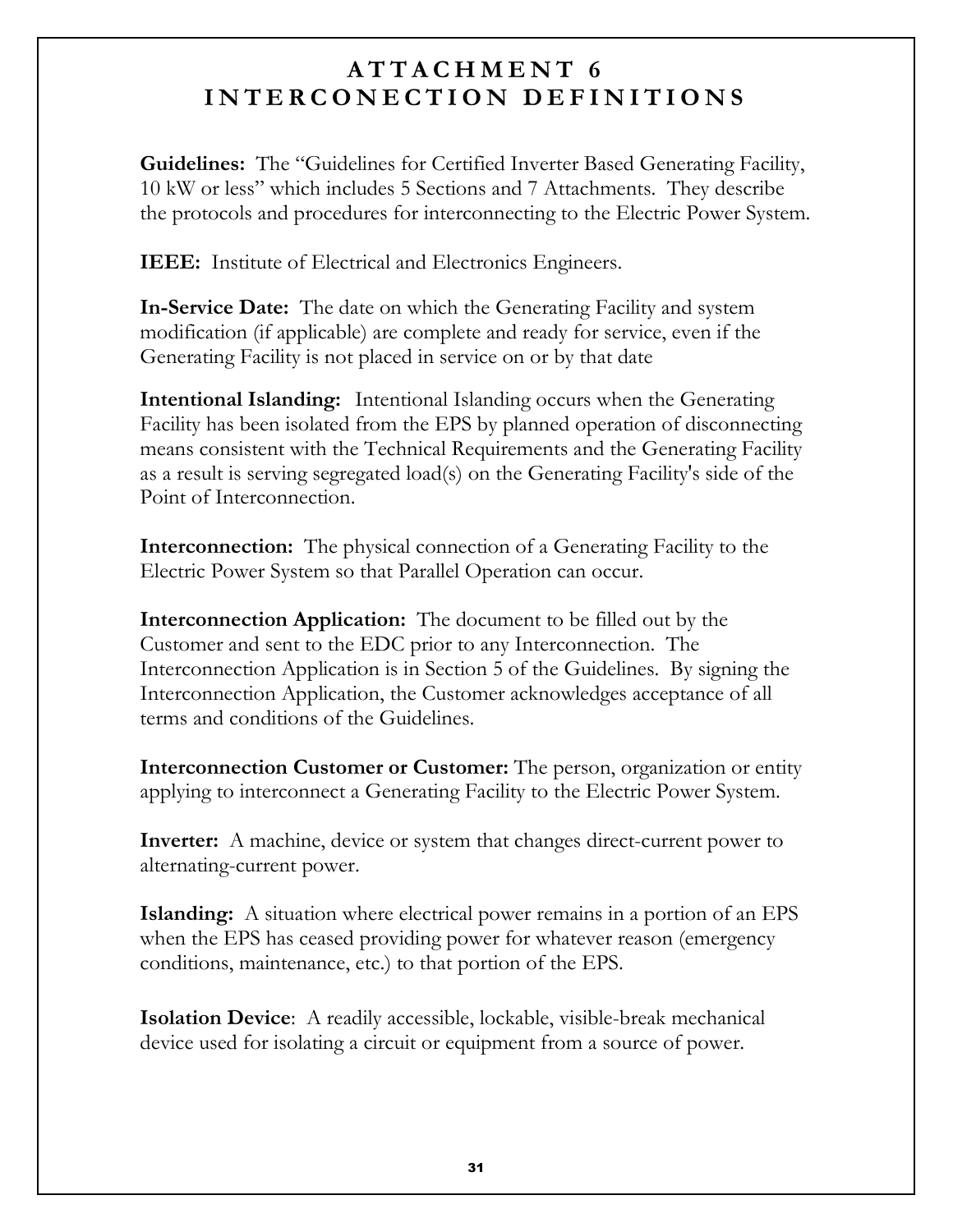**Guidelines:** The "Guidelines for Certified Inverter Based Generating Facility, 10 kW or less" which includes 5 Sections and 7 Attachments. They describe the protocols and procedures for interconnecting to the Electric Power System.

**IEEE:** Institute of Electrical and Electronics Engineers.

**In-Service Date:** The date on which the Generating Facility and system modification (if applicable) are complete and ready for service, even if the Generating Facility is not placed in service on or by that date

**Intentional Islanding:** Intentional Islanding occurs when the Generating Facility has been isolated from the EPS by planned operation of disconnecting means consistent with the Technical Requirements and the Generating Facility as a result is serving segregated load(s) on the Generating Facility's side of the Point of Interconnection.

**Interconnection:** The physical connection of a Generating Facility to the Electric Power System so that Parallel Operation can occur.

**Interconnection Application:** The document to be filled out by the Customer and sent to the EDC prior to any Interconnection. The Interconnection Application is in Section 5 of the Guidelines. By signing the Interconnection Application, the Customer acknowledges acceptance of all terms and conditions of the Guidelines.

**Interconnection Customer or Customer:** The person, organization or entity applying to interconnect a Generating Facility to the Electric Power System.

**Inverter:** A machine, device or system that changes direct-current power to alternating-current power.

**Islanding:** A situation where electrical power remains in a portion of an EPS when the EPS has ceased providing power for whatever reason (emergency conditions, maintenance, etc.) to that portion of the EPS.

**Isolation Device:** A readily accessible, lockable, visible-break mechanical device used for isolating a circuit or equipment from a source of power.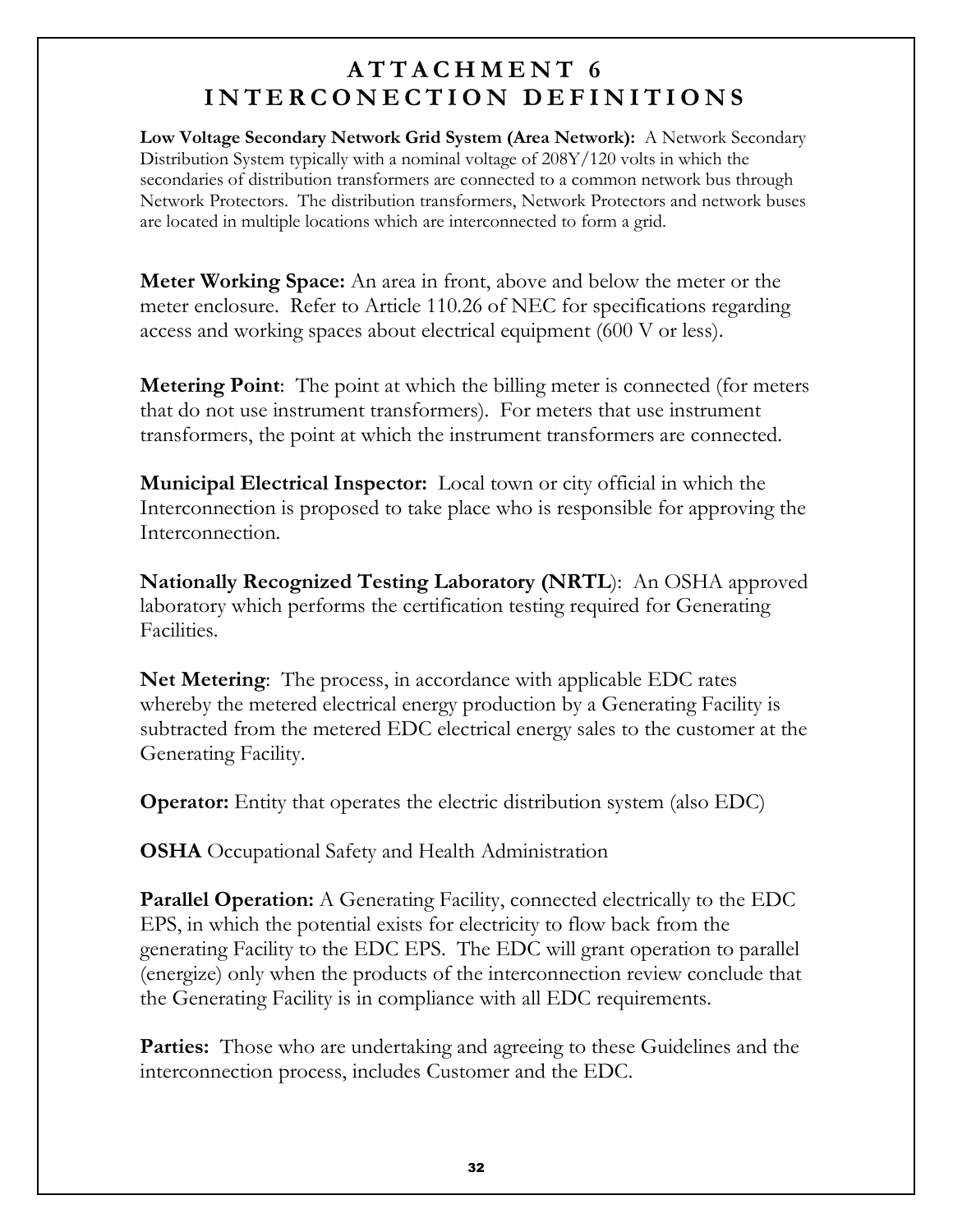Low Voltage Secondary Network Grid System (Area Network): A Network Secondary Distribution System typically with a nominal voltage of  $208Y/120$  volts in which the secondaries of distribution transformers are connected to a common network bus through Network Protectors. The distribution transformers, Network Protectors and network buses are located in multiple locations which are interconnected to form a grid.

**Meter Working Space:** An area in front, above and below the meter or the meter enclosure. Refer to Article 110.26 of NEC for specifications regarding access and working spaces about electrical equipment (600 V or less).

**Metering Point:** The point at which the billing meter is connected (for meters) that do not use instrument transformers). For meters that use instrument transformers, the point at which the instrument transformers are connected.

**Municipal Electrical Inspector:** Local town or city official in which the Interconnection is proposed to take place who is responsible for approving the Interconnection.

**Nationally Recognized Testing Laboratory (NRTL):** An OSHA approved laboratory which performs the certification testing required for Generating Facilities.

**Net Metering:** The process, in accordance with applicable EDC rates whereby the metered electrical energy production by a Generating Facility is subtracted from the metered EDC electrical energy sales to the customer at the Generating Facility.

**Operator:** Entity that operates the electric distribution system (also EDC)

**OSHA** Occupational Safety and Health Administration

**Parallel Operation:** A Generating Facility, connected electrically to the EDC EPS, in which the potential exists for electricity to flow back from the generating Facility to the EDC EPS. The EDC will grant operation to parallel (energize) only when the products of the interconnection review conclude that the Generating Facility is in compliance with all EDC requirements.

**Parties:** Those who are undertaking and agreeing to these Guidelines and the interconnection process, includes Customer and the EDC.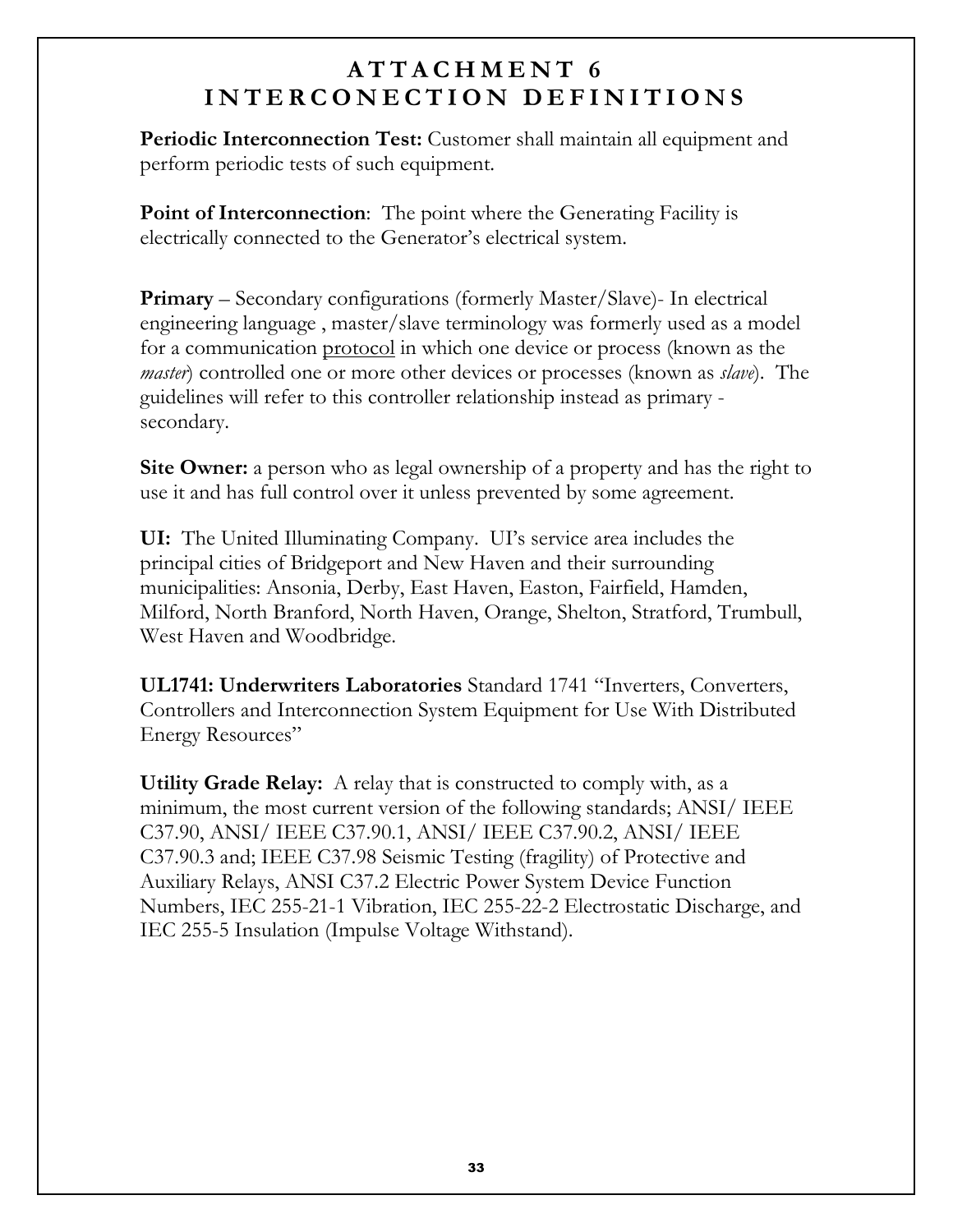**Periodic Interconnection Test:** Customer shall maintain all equipment and perform periodic tests of such equipment.

**Point of Interconnection:** The point where the Generating Facility is electrically connected to the Generator's electrical system.

**Primary** – Secondary configurations (formerly Master/Slave)- In electrical engineering language, master/slave terminology was formerly used as a model for a communication protocol in which one device or process (known as the *master*) controlled one or more other devices or processes (known as *slave*). The guidelines will refer to this controller relationship instead as primary secondary.

**Site Owner:** a person who as legal ownership of a property and has the right to use it and has full control over it unless prevented by some agreement.

**UI:** The United Illuminating Company. UI's service area includes the principal cities of Bridgeport and New Haven and their surrounding municipalities: Ansonia, Derby, East Haven, Easton, Fairfield, Hamden, Milford, North Branford, North Haven, Orange, Shelton, Stratford, Trumbull, West Haven and Woodbridge.

UL1741: Underwriters Laboratories Standard 1741 "Inverters, Converters, Controllers and Interconnection System Equipment for Use With Distributed Energy Resources"

Utility Grade Relay: A relay that is constructed to comply with, as a minimum, the most current version of the following standards; ANSI/ IEEE C37.90, ANSI/ IEEE C37.90.1, ANSI/ IEEE C37.90.2, ANSI/ IEEE C37.90.3 and; IEEE C37.98 Seismic Testing (fragility) of Protective and Auxiliary Relays, ANSI C37.2 Electric Power System Device Function Numbers, IEC 255-21-1 Vibration, IEC 255-22-2 Electrostatic Discharge, and IEC 255-5 Insulation (Impulse Voltage Withstand).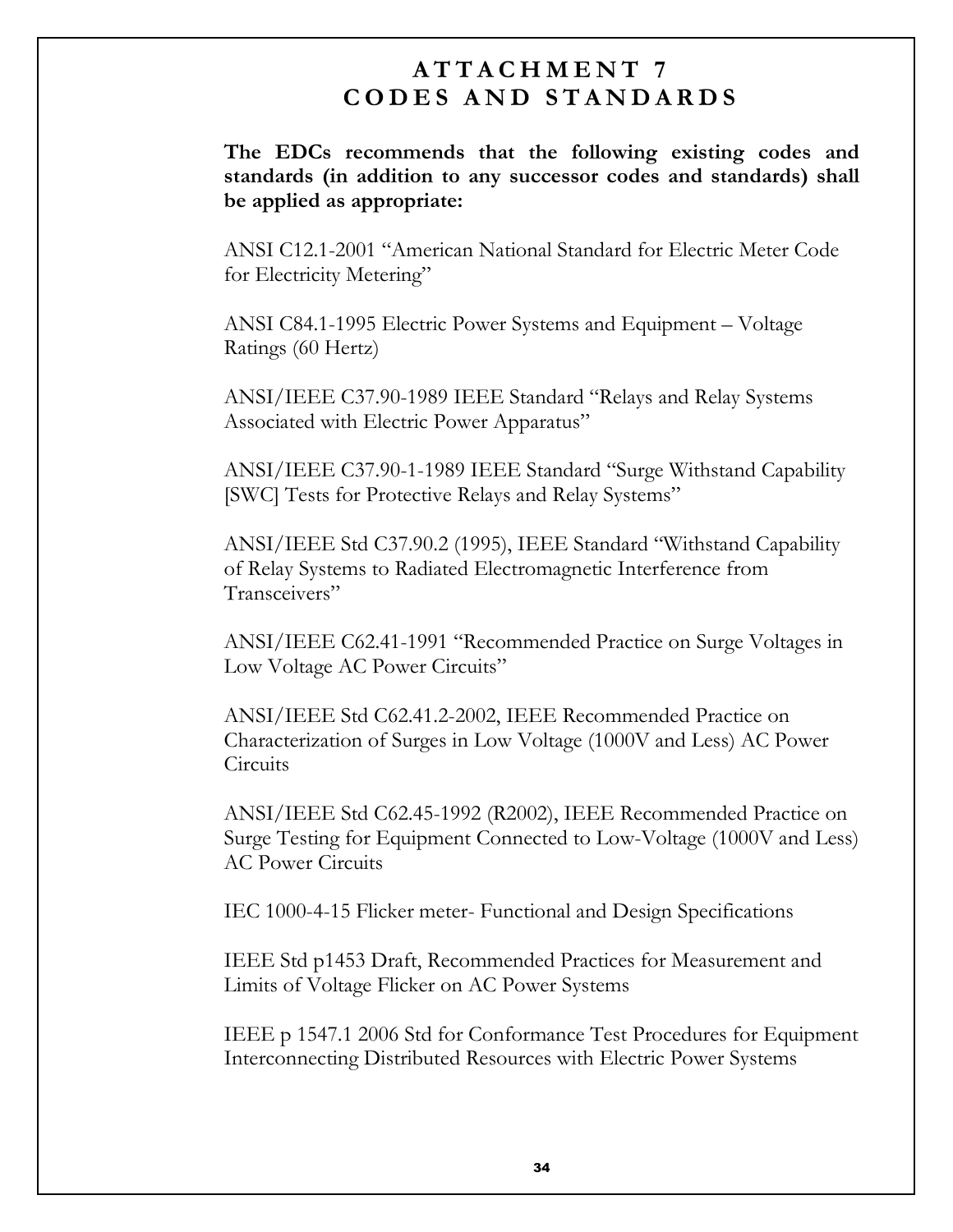#### $ATTACHMENT$  7 CODES AND STANDARDS

The EDCs recommends that the following existing codes and standards (in addition to any successor codes and standards) shall be applied as appropriate:

ANSI C12.1-2001 "American National Standard for Electric Meter Code for Electricity Metering"

ANSI C84.1-1995 Electric Power Systems and Equipment - Voltage Ratings (60 Hertz)

ANSI/IEEE C37.90-1989 IEEE Standard "Relays and Relay Systems Associated with Electric Power Apparatus"

ANSI/IEEE C37.90-1-1989 IEEE Standard "Surge Withstand Capability [SWC] Tests for Protective Relays and Relay Systems"

ANSI/IEEE Std C37.90.2 (1995), IEEE Standard "Withstand Capability of Relay Systems to Radiated Electromagnetic Interference from Transceivers"

ANSI/IEEE C62.41-1991 "Recommended Practice on Surge Voltages in Low Voltage AC Power Circuits"

ANSI/IEEE Std C62.41.2-2002, IEEE Recommended Practice on Characterization of Surges in Low Voltage (1000V and Less) AC Power Circuits

ANSI/IEEE Std C62.45-1992 (R2002), IEEE Recommended Practice on Surge Testing for Equipment Connected to Low-Voltage (1000V and Less) AC Power Circuits

IEC 1000-4-15 Flicker meter- Functional and Design Specifications

IEEE Std p1453 Draft, Recommended Practices for Measurement and Limits of Voltage Flicker on AC Power Systems

IEEE p 1547.1 2006 Std for Conformance Test Procedures for Equipment Interconnecting Distributed Resources with Electric Power Systems